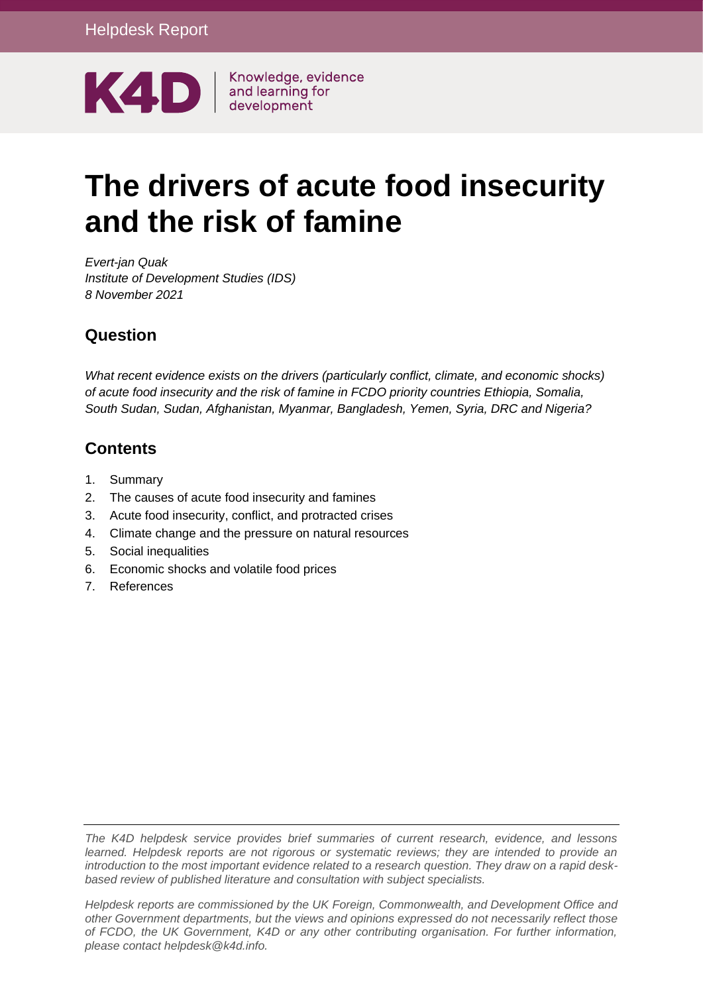

Knowledge, evidence

# **The drivers of acute food insecurity and the risk of famine**

*Evert-jan Quak Institute of Development Studies (IDS) 8 November 2021*

## **Question**

*What recent evidence exists on the drivers (particularly conflict, climate, and economic shocks) of acute food insecurity and the risk of famine in FCDO priority countries Ethiopia, Somalia, South Sudan, Sudan, Afghanistan, Myanmar, Bangladesh, Yemen, Syria, DRC and Nigeria?* 

## **Contents**

- 1. [Summary](#page-1-0)
- 2. [The causes of acute food insecurity and famines](#page-4-0)
- 3. [Acute food insecurity, conflict, and protracted crises](#page-9-0)
- 4. [Climate change and the pressure on natural resources](#page-16-0)
- 5. [Social inequalities](#page-20-0)
- 6. [Economic shocks and volatile food prices](#page-22-0)
- 7. [References](#page-25-0)

*The K4D helpdesk service provides brief summaries of current research, evidence, and lessons learned. Helpdesk reports are not rigorous or systematic reviews; they are intended to provide an introduction to the most important evidence related to a research question. They draw on a rapid deskbased review of published literature and consultation with subject specialists.* 

*Helpdesk reports are commissioned by the UK Foreign, Commonwealth, and Development Office and other Government departments, but the views and opinions expressed do not necessarily reflect those of FCDO, the UK Government, K4D or any other contributing organisation. For further information, please contact helpdesk@k4d.info.*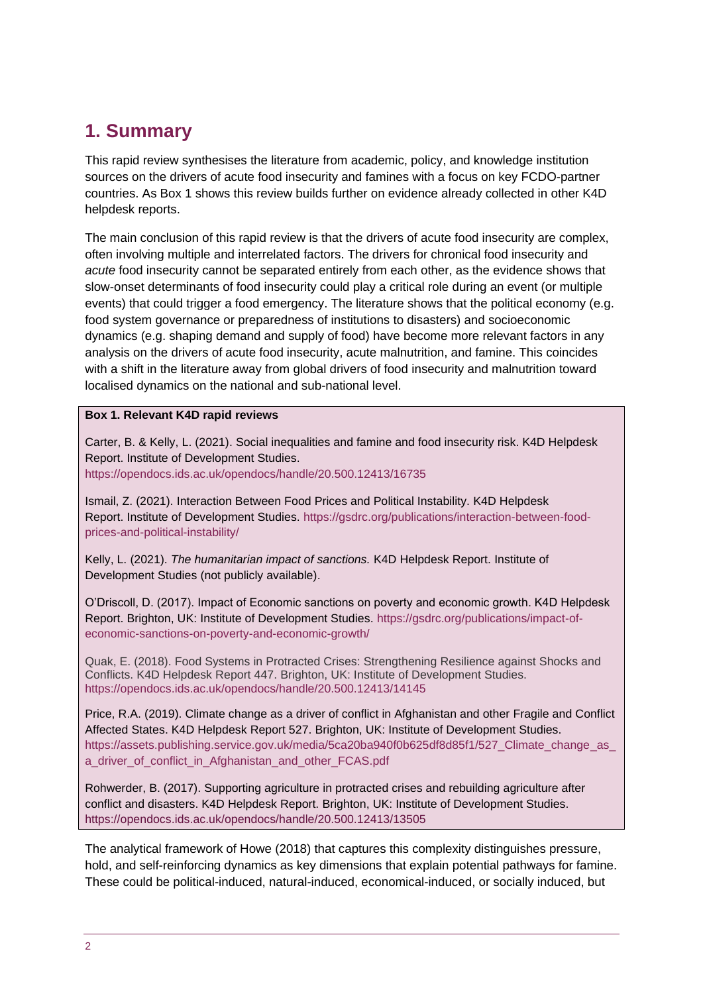## <span id="page-1-0"></span>**1. Summary**

This rapid review synthesises the literature from academic, policy, and knowledge institution sources on the drivers of acute food insecurity and famines with a focus on key FCDO-partner countries. As Box 1 shows this review builds further on evidence already collected in other K4D helpdesk reports.

The main conclusion of this rapid review is that the drivers of acute food insecurity are complex, often involving multiple and interrelated factors. The drivers for chronical food insecurity and *acute* food insecurity cannot be separated entirely from each other, as the evidence shows that slow-onset determinants of food insecurity could play a critical role during an event (or multiple events) that could trigger a food emergency. The literature shows that the political economy (e.g. food system governance or preparedness of institutions to disasters) and socioeconomic dynamics (e.g. shaping demand and supply of food) have become more relevant factors in any analysis on the drivers of acute food insecurity, acute malnutrition, and famine. This coincides with a shift in the literature away from global drivers of food insecurity and malnutrition toward localised dynamics on the national and sub-national level.

#### **Box 1. Relevant K4D rapid reviews**

Carter, B. & Kelly, L. (2021). Social inequalities and famine and food insecurity risk. K4D Helpdesk Report. Institute of Development Studies.

<https://opendocs.ids.ac.uk/opendocs/handle/20.500.12413/16735>

Ismail, Z. (2021). Interaction Between Food Prices and Political Instability. K4D Helpdesk Report. Institute of Development Studies. [https://gsdrc.org/publications/interaction-between-food](https://gsdrc.org/publications/interaction-between-food-prices-and-political-instability/)[prices-and-political-instability/](https://gsdrc.org/publications/interaction-between-food-prices-and-political-instability/)

Kelly, L. (2021). *The humanitarian impact of sanctions.* K4D Helpdesk Report. Institute of Development Studies (not publicly available).

O'Driscoll, D. (2017). Impact of Economic sanctions on poverty and economic growth. K4D Helpdesk Report. Brighton, UK: Institute of Development Studies. [https://gsdrc.org/publications/impact-of](https://gsdrc.org/publications/impact-of-economic-sanctions-on-poverty-and-economic-growth/)[economic-sanctions-on-poverty-and-economic-growth/](https://gsdrc.org/publications/impact-of-economic-sanctions-on-poverty-and-economic-growth/)

Quak, E. (2018). Food Systems in Protracted Crises: Strengthening Resilience against Shocks and Conflicts. K4D Helpdesk Report 447. Brighton, UK: Institute of Development Studies. <https://opendocs.ids.ac.uk/opendocs/handle/20.500.12413/14145>

Price, R.A. (2019). Climate change as a driver of conflict in Afghanistan and other Fragile and Conflict Affected States. K4D Helpdesk Report 527. Brighton, UK: Institute of Development Studies. https://assets.publishing.service.gov.uk/media/5ca20ba940f0b625df8d85f1/527 Climate change as [a\\_driver\\_of\\_conflict\\_in\\_Afghanistan\\_and\\_other\\_FCAS.pdf](https://assets.publishing.service.gov.uk/media/5ca20ba940f0b625df8d85f1/527_Climate_change_as_a_driver_of_conflict_in_Afghanistan_and_other_FCAS.pdf)

Rohwerder, B. (2017). Supporting agriculture in protracted crises and rebuilding agriculture after conflict and disasters. K4D Helpdesk Report. Brighton, UK: Institute of Development Studies. <https://opendocs.ids.ac.uk/opendocs/handle/20.500.12413/13505>

The analytical framework of Howe (2018) that captures this complexity distinguishes pressure, hold, and self-reinforcing dynamics as key dimensions that explain potential pathways for famine. These could be political-induced, natural-induced, economical-induced, or socially induced, but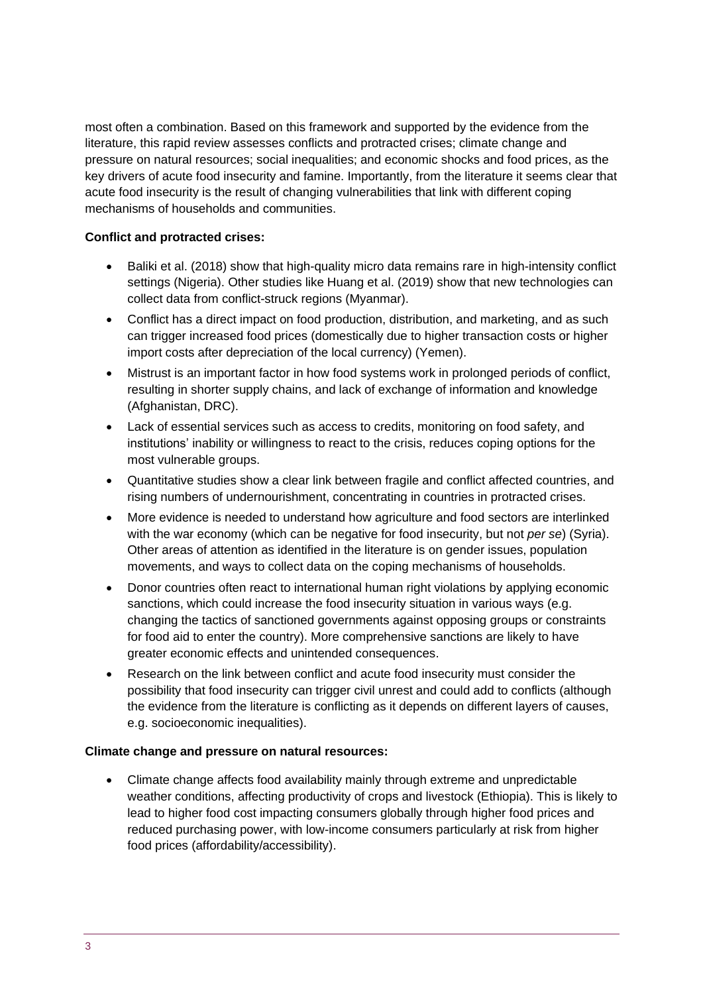most often a combination. Based on this framework and supported by the evidence from the literature, this rapid review assesses conflicts and protracted crises; climate change and pressure on natural resources; social inequalities; and economic shocks and food prices, as the key drivers of acute food insecurity and famine. Importantly, from the literature it seems clear that acute food insecurity is the result of changing vulnerabilities that link with different coping mechanisms of households and communities.

#### **Conflict and protracted crises:**

- Baliki et al. (2018) show that high-quality micro data remains rare in high-intensity conflict settings (Nigeria). Other studies like Huang et al. (2019) show that new technologies can collect data from conflict-struck regions (Myanmar).
- Conflict has a direct impact on food production, distribution, and marketing, and as such can trigger increased food prices (domestically due to higher transaction costs or higher import costs after depreciation of the local currency) (Yemen).
- Mistrust is an important factor in how food systems work in prolonged periods of conflict, resulting in shorter supply chains, and lack of exchange of information and knowledge (Afghanistan, DRC).
- Lack of essential services such as access to credits, monitoring on food safety, and institutions' inability or willingness to react to the crisis, reduces coping options for the most vulnerable groups.
- Quantitative studies show a clear link between fragile and conflict affected countries, and rising numbers of undernourishment, concentrating in countries in protracted crises.
- More evidence is needed to understand how agriculture and food sectors are interlinked with the war economy (which can be negative for food insecurity, but not *per se*) (Syria). Other areas of attention as identified in the literature is on gender issues, population movements, and ways to collect data on the coping mechanisms of households.
- Donor countries often react to international human right violations by applying economic sanctions, which could increase the food insecurity situation in various ways (e.g. changing the tactics of sanctioned governments against opposing groups or constraints for food aid to enter the country). More comprehensive sanctions are likely to have greater economic effects and unintended consequences.
- Research on the link between conflict and acute food insecurity must consider the possibility that food insecurity can trigger civil unrest and could add to conflicts (although the evidence from the literature is conflicting as it depends on different layers of causes, e.g. socioeconomic inequalities).

#### **Climate change and pressure on natural resources:**

• Climate change affects food availability mainly through extreme and unpredictable weather conditions, affecting productivity of crops and livestock (Ethiopia). This is likely to lead to higher food cost impacting consumers globally through higher food prices and reduced purchasing power, with low-income consumers particularly at risk from higher food prices (affordability/accessibility).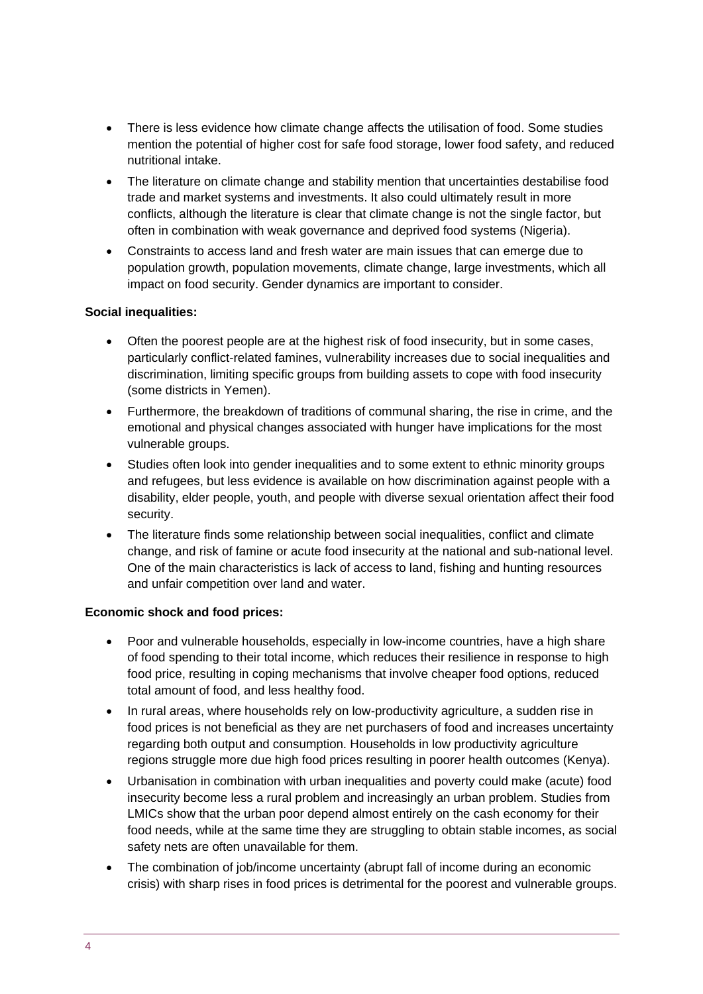- There is less evidence how climate change affects the utilisation of food. Some studies mention the potential of higher cost for safe food storage, lower food safety, and reduced nutritional intake.
- The literature on climate change and stability mention that uncertainties destabilise food trade and market systems and investments. It also could ultimately result in more conflicts, although the literature is clear that climate change is not the single factor, but often in combination with weak governance and deprived food systems (Nigeria).
- Constraints to access land and fresh water are main issues that can emerge due to population growth, population movements, climate change, large investments, which all impact on food security. Gender dynamics are important to consider.

#### **Social inequalities:**

- Often the poorest people are at the highest risk of food insecurity, but in some cases, particularly conflict-related famines, vulnerability increases due to social inequalities and discrimination, limiting specific groups from building assets to cope with food insecurity (some districts in Yemen).
- Furthermore, the breakdown of traditions of communal sharing, the rise in crime, and the emotional and physical changes associated with hunger have implications for the most vulnerable groups.
- Studies often look into gender inequalities and to some extent to ethnic minority groups and refugees, but less evidence is available on how discrimination against people with a disability, elder people, youth, and people with diverse sexual orientation affect their food security.
- The literature finds some relationship between social inequalities, conflict and climate change, and risk of famine or acute food insecurity at the national and sub-national level. One of the main characteristics is lack of access to land, fishing and hunting resources and unfair competition over land and water.

#### **Economic shock and food prices:**

- Poor and vulnerable households, especially in low-income countries, have a high share of food spending to their total income, which reduces their resilience in response to high food price, resulting in coping mechanisms that involve cheaper food options, reduced total amount of food, and less healthy food.
- In rural areas, where households rely on low-productivity agriculture, a sudden rise in food prices is not beneficial as they are net purchasers of food and increases uncertainty regarding both output and consumption. Households in low productivity agriculture regions struggle more due high food prices resulting in poorer health outcomes (Kenya).
- Urbanisation in combination with urban inequalities and poverty could make (acute) food insecurity become less a rural problem and increasingly an urban problem. Studies from LMICs show that the urban poor depend almost entirely on the cash economy for their food needs, while at the same time they are struggling to obtain stable incomes, as social safety nets are often unavailable for them.
- The combination of job/income uncertainty (abrupt fall of income during an economic crisis) with sharp rises in food prices is detrimental for the poorest and vulnerable groups.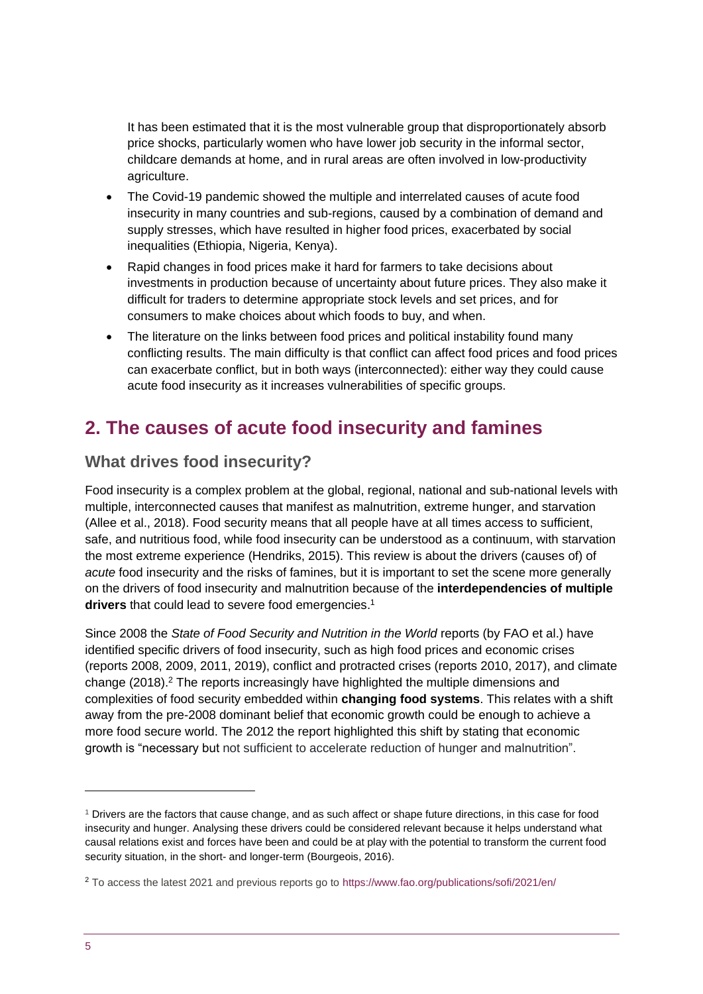It has been estimated that it is the most vulnerable group that disproportionately absorb price shocks, particularly women who have lower job security in the informal sector, childcare demands at home, and in rural areas are often involved in low-productivity agriculture.

- The Covid-19 pandemic showed the multiple and interrelated causes of acute food insecurity in many countries and sub-regions, caused by a combination of demand and supply stresses, which have resulted in higher food prices, exacerbated by social inequalities (Ethiopia, Nigeria, Kenya).
- Rapid changes in food prices make it hard for farmers to take decisions about investments in production because of uncertainty about future prices. They also make it difficult for traders to determine appropriate stock levels and set prices, and for consumers to make choices about which foods to buy, and when.
- The literature on the links between food prices and political instability found many conflicting results. The main difficulty is that conflict can affect food prices and food prices can exacerbate conflict, but in both ways (interconnected): either way they could cause acute food insecurity as it increases vulnerabilities of specific groups.

## <span id="page-4-0"></span>**2. The causes of acute food insecurity and famines**

## **What drives food insecurity?**

Food insecurity is a complex problem at the global, regional, national and sub-national levels with multiple, interconnected causes that manifest as malnutrition, extreme hunger, and starvation (Allee et al., 2018). Food security means that all people have at all times access to sufficient, safe, and nutritious food, while food insecurity can be understood as a continuum, with starvation the most extreme experience (Hendriks, 2015). This review is about the drivers (causes of) of *acute* food insecurity and the risks of famines, but it is important to set the scene more generally on the drivers of food insecurity and malnutrition because of the **interdependencies of multiple**  drivers that could lead to severe food emergencies.<sup>1</sup>

Since 2008 the *State of Food Security and Nutrition in the World* reports (by FAO et al.) have identified specific drivers of food insecurity, such as high food prices and economic crises (reports 2008, 2009, 2011, 2019), conflict and protracted crises (reports 2010, 2017), and climate change (2018).<sup>2</sup> The reports increasingly have highlighted the multiple dimensions and complexities of food security embedded within **changing food systems**. This relates with a shift away from the pre-2008 dominant belief that economic growth could be enough to achieve a more food secure world. The 2012 the report highlighted this shift by stating that economic growth is "necessary but not sufficient to accelerate reduction of hunger and malnutrition".

<sup>1</sup> Drivers are the factors that cause change, and as such affect or shape future directions, in this case for food insecurity and hunger. Analysing these drivers could be considered relevant because it helps understand what causal relations exist and forces have been and could be at play with the potential to transform the current food security situation, in the short- and longer-term (Bourgeois, 2016).

<sup>2</sup> To access the latest 2021 and previous reports go to<https://www.fao.org/publications/sofi/2021/en/>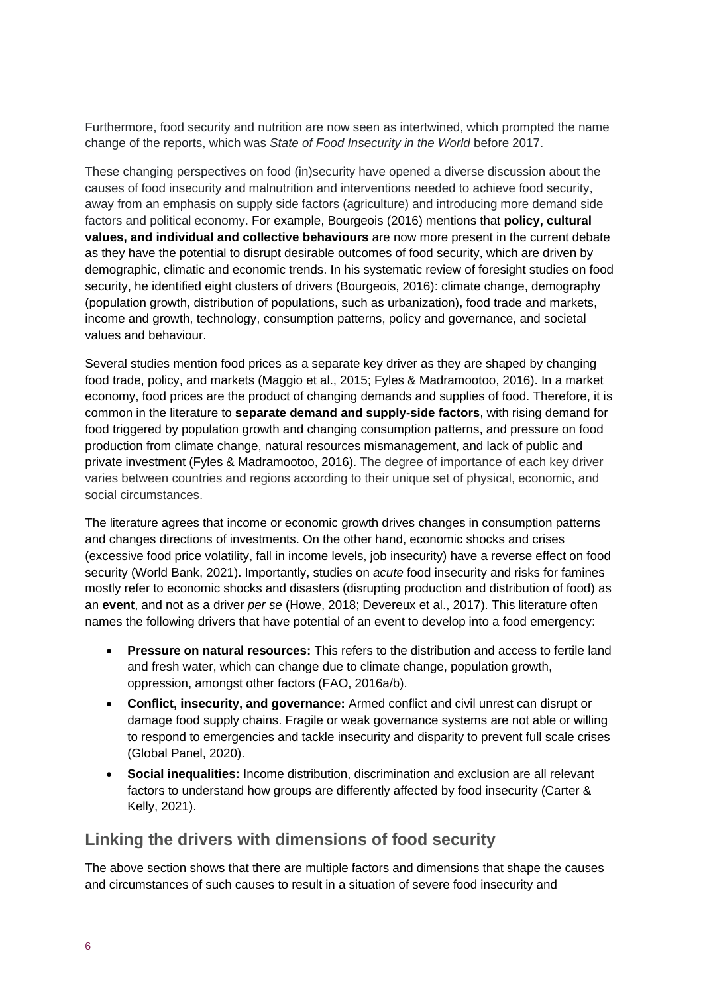Furthermore, food security and nutrition are now seen as intertwined, which prompted the name change of the reports, which was *State of Food Insecurity in the World* before 2017.

These changing perspectives on food (in)security have opened a diverse discussion about the causes of food insecurity and malnutrition and interventions needed to achieve food security, away from an emphasis on supply side factors (agriculture) and introducing more demand side factors and political economy. For example, Bourgeois (2016) mentions that **policy, cultural values, and individual and collective behaviours** are now more present in the current debate as they have the potential to disrupt desirable outcomes of food security, which are driven by demographic, climatic and economic trends. In his systematic review of foresight studies on food security, he identified eight clusters of drivers (Bourgeois, 2016): climate change, demography (population growth, distribution of populations, such as urbanization), food trade and markets, income and growth, technology, consumption patterns, policy and governance, and societal values and behaviour.

Several studies mention food prices as a separate key driver as they are shaped by changing food trade, policy, and markets (Maggio et al., 2015; Fyles & Madramootoo, 2016). In a market economy, food prices are the product of changing demands and supplies of food. Therefore, it is common in the literature to **separate demand and supply-side factors**, with rising demand for food triggered by population growth and changing consumption patterns, and pressure on food production from climate change, natural resources mismanagement, and lack of public and private investment (Fyles & Madramootoo, 2016). The degree of importance of each key driver varies between countries and regions according to their unique set of physical, economic, and social circumstances.

The literature agrees that income or economic growth drives changes in consumption patterns and changes directions of investments. On the other hand, economic shocks and crises (excessive food price volatility, fall in income levels, job insecurity) have a reverse effect on food security (World Bank, 2021). Importantly, studies on *acute* food insecurity and risks for famines mostly refer to economic shocks and disasters (disrupting production and distribution of food) as an **event**, and not as a driver *per se* (Howe, 2018; Devereux et al., 2017). This literature often names the following drivers that have potential of an event to develop into a food emergency:

- **Pressure on natural resources:** This refers to the distribution and access to fertile land and fresh water, which can change due to climate change, population growth, oppression, amongst other factors (FAO, 2016a/b).
- **Conflict, insecurity, and governance:** Armed conflict and civil unrest can disrupt or damage food supply chains. Fragile or weak governance systems are not able or willing to respond to emergencies and tackle insecurity and disparity to prevent full scale crises (Global Panel, 2020).
- **Social inequalities:** Income distribution, discrimination and exclusion are all relevant factors to understand how groups are differently affected by food insecurity (Carter & Kelly, 2021).

### **Linking the drivers with dimensions of food security**

The above section shows that there are multiple factors and dimensions that shape the causes and circumstances of such causes to result in a situation of severe food insecurity and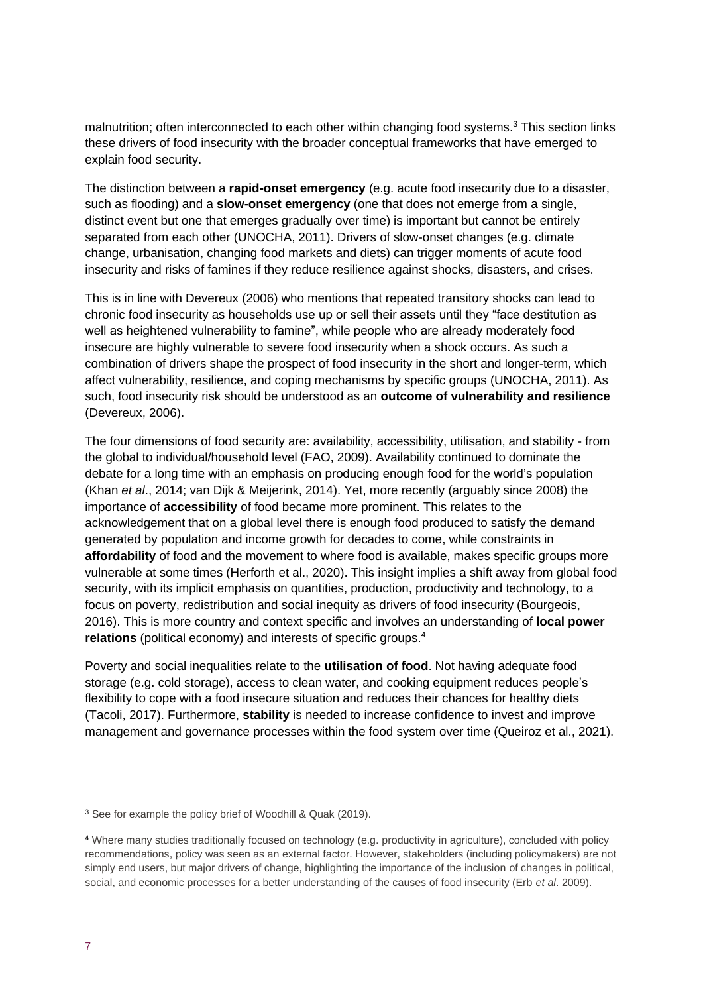malnutrition; often interconnected to each other within changing food systems.<sup>3</sup> This section links these drivers of food insecurity with the broader conceptual frameworks that have emerged to explain food security.

The distinction between a **rapid-onset emergency** (e.g. acute food insecurity due to a disaster, such as flooding) and a **slow-onset emergency** (one that does not emerge from a single, distinct event but one that emerges gradually over time) is important but cannot be entirely separated from each other (UNOCHA, 2011). Drivers of slow-onset changes (e.g. climate change, urbanisation, changing food markets and diets) can trigger moments of acute food insecurity and risks of famines if they reduce resilience against shocks, disasters, and crises.

This is in line with Devereux (2006) who mentions that repeated transitory shocks can lead to chronic food insecurity as households use up or sell their assets until they "face destitution as well as heightened vulnerability to famine", while people who are already moderately food insecure are highly vulnerable to severe food insecurity when a shock occurs. As such a combination of drivers shape the prospect of food insecurity in the short and longer-term, which affect vulnerability, resilience, and coping mechanisms by specific groups (UNOCHA, 2011). As such, food insecurity risk should be understood as an **outcome of vulnerability and resilience** (Devereux, 2006).

The four dimensions of food security are: availability, accessibility, utilisation, and stability - from the global to individual/household level (FAO, 2009). Availability continued to dominate the debate for a long time with an emphasis on producing enough food for the world's population (Khan *et al*., 2014; van Dijk & Meijerink, 2014). Yet, more recently (arguably since 2008) the importance of **accessibility** of food became more prominent. This relates to the acknowledgement that on a global level there is enough food produced to satisfy the demand generated by population and income growth for decades to come, while constraints in **affordability** of food and the movement to where food is available, makes specific groups more vulnerable at some times (Herforth et al., 2020). This insight implies a shift away from global food security, with its implicit emphasis on quantities, production, productivity and technology, to a focus on poverty, redistribution and social inequity as drivers of food insecurity (Bourgeois, 2016). This is more country and context specific and involves an understanding of **local power relations** (political economy) and interests of specific groups.<sup>4</sup>

Poverty and social inequalities relate to the **utilisation of food**. Not having adequate food storage (e.g. cold storage), access to clean water, and cooking equipment reduces people's flexibility to cope with a food insecure situation and reduces their chances for healthy diets (Tacoli, 2017). Furthermore, **stability** is needed to increase confidence to invest and improve management and governance processes within the food system over time (Queiroz et al., 2021).

<sup>&</sup>lt;sup>3</sup> See for example the policy brief of Woodhill & Quak (2019).

<sup>4</sup> Where many studies traditionally focused on technology (e.g. productivity in agriculture), concluded with policy recommendations, policy was seen as an external factor. However, stakeholders (including policymakers) are not simply end users, but major drivers of change, highlighting the importance of the inclusion of changes in political, social, and economic processes for a better understanding of the causes of food insecurity (Erb *et al*. 2009).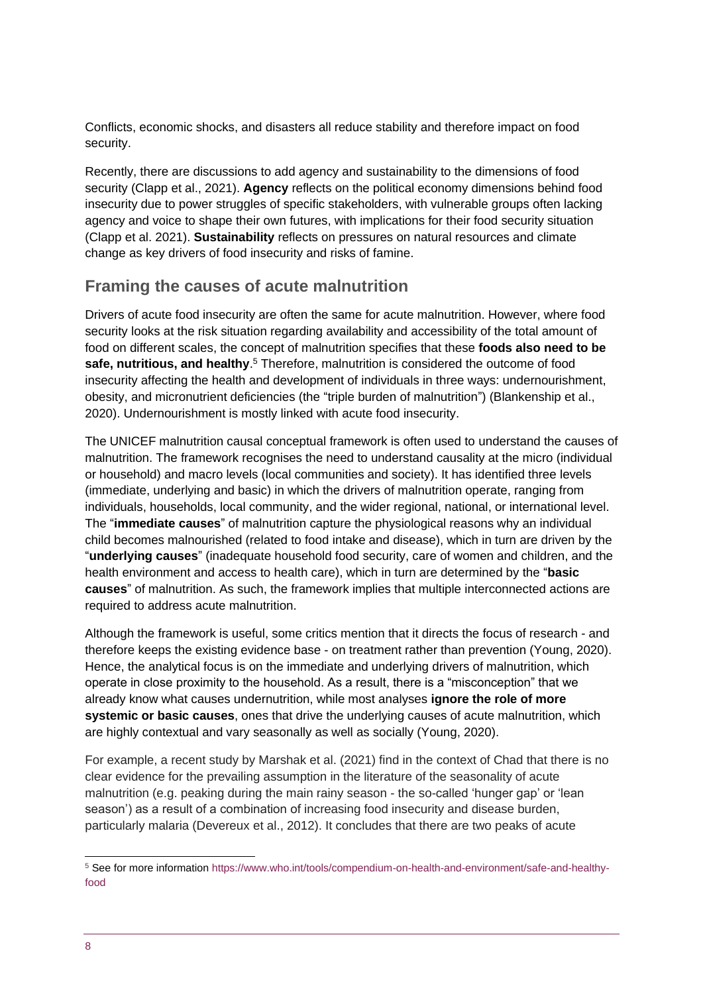Conflicts, economic shocks, and disasters all reduce stability and therefore impact on food security.

Recently, there are discussions to add agency and sustainability to the dimensions of food security (Clapp et al., 2021). **Agency** reflects on the political economy dimensions behind food insecurity due to power struggles of specific stakeholders, with vulnerable groups often lacking agency and voice to shape their own futures, with implications for their food security situation (Clapp et al. 2021). **Sustainability** reflects on pressures on natural resources and climate change as key drivers of food insecurity and risks of famine.

### **Framing the causes of acute malnutrition**

Drivers of acute food insecurity are often the same for acute malnutrition. However, where food security looks at the risk situation regarding availability and accessibility of the total amount of food on different scales, the concept of malnutrition specifies that these **foods also need to be safe, nutritious, and healthy**. <sup>5</sup> Therefore, malnutrition is considered the outcome of food insecurity affecting the health and development of individuals in three ways: undernourishment, obesity, and micronutrient deficiencies (the "triple burden of malnutrition") (Blankenship et al., 2020). Undernourishment is mostly linked with acute food insecurity.

The UNICEF malnutrition causal conceptual framework is often used to understand the causes of malnutrition. The framework recognises the need to understand causality at the micro (individual or household) and macro levels (local communities and society). It has identified three levels (immediate, underlying and basic) in which the drivers of malnutrition operate, ranging from individuals, households, local community, and the wider regional, national, or international level. The "**immediate causes**" of malnutrition capture the physiological reasons why an individual child becomes malnourished (related to food intake and disease), which in turn are driven by the "**underlying causes**" (inadequate household food security, care of women and children, and the health environment and access to health care), which in turn are determined by the "**basic causes**" of malnutrition. As such, the framework implies that multiple interconnected actions are required to address acute malnutrition.

Although the framework is useful, some critics mention that it directs the focus of research - and therefore keeps the existing evidence base - on treatment rather than prevention (Young, 2020). Hence, the analytical focus is on the immediate and underlying drivers of malnutrition, which operate in close proximity to the household. As a result, there is a "misconception" that we already know what causes undernutrition, while most analyses **ignore the role of more systemic or basic causes**, ones that drive the underlying causes of acute malnutrition, which are highly contextual and vary seasonally as well as socially (Young, 2020).

For example, a recent study by Marshak et al. (2021) find in the context of Chad that there is no clear evidence for the prevailing assumption in the literature of the seasonality of acute malnutrition (e.g. peaking during the main rainy season - the so-called 'hunger gap' or 'lean season') as a result of a combination of increasing food insecurity and disease burden, particularly malaria (Devereux et al., 2012). It concludes that there are two peaks of acute

<sup>5</sup> See for more information [https://www.who.int/tools/compendium-on-health-and-environment/safe-and-healthy](https://www.who.int/tools/compendium-on-health-and-environment/safe-and-healthy-food)[food](https://www.who.int/tools/compendium-on-health-and-environment/safe-and-healthy-food)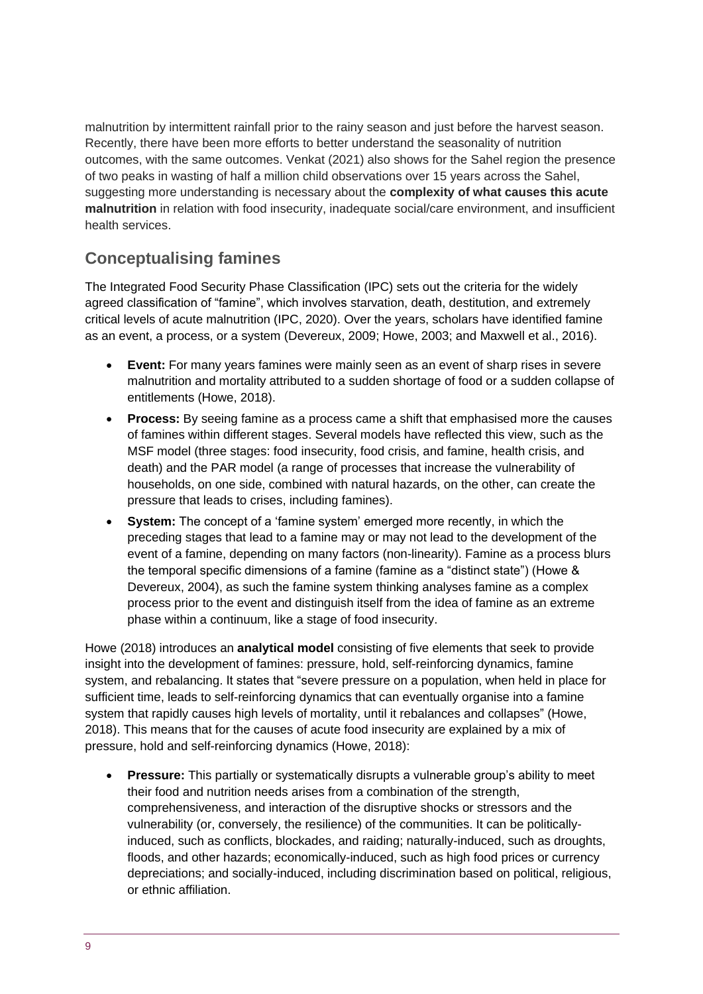malnutrition by intermittent rainfall prior to the rainy season and just before the harvest season. Recently, there have been more efforts to better understand the seasonality of nutrition outcomes, with the same outcomes. Venkat (2021) also shows for the Sahel region the presence of two peaks in wasting of half a million child observations over 15 years across the Sahel, suggesting more understanding is necessary about the **complexity of what causes this acute malnutrition** in relation with food insecurity, inadequate social/care environment, and insufficient health services.

## **Conceptualising famines**

The Integrated Food Security Phase Classification (IPC) sets out the criteria for the widely agreed classification of "famine", which involves starvation, death, destitution, and extremely critical levels of acute malnutrition (IPC, 2020). Over the years, scholars have identified famine as an event, a process, or a system (Devereux, 2009; Howe, 2003; and Maxwell et al., 2016).

- **Event:** For many years famines were mainly seen as an event of sharp rises in severe malnutrition and mortality attributed to a sudden shortage of food or a sudden collapse of entitlements (Howe, 2018).
- **Process:** By seeing famine as a process came a shift that emphasised more the causes of famines within different stages. Several models have reflected this view, such as the MSF model (three stages: food insecurity, food crisis, and famine, health crisis, and death) and the PAR model (a range of processes that increase the vulnerability of households, on one side, combined with natural hazards, on the other, can create the pressure that leads to crises, including famines).
- **System:** The concept of a 'famine system' emerged more recently, in which the preceding stages that lead to a famine may or may not lead to the development of the event of a famine, depending on many factors (non-linearity). Famine as a process blurs the temporal specific dimensions of a famine (famine as a "distinct state") (Howe & Devereux, 2004), as such the famine system thinking analyses famine as a complex process prior to the event and distinguish itself from the idea of famine as an extreme phase within a continuum, like a stage of food insecurity.

Howe (2018) introduces an **analytical model** consisting of five elements that seek to provide insight into the development of famines: pressure, hold, self-reinforcing dynamics, famine system, and rebalancing. It states that "severe pressure on a population, when held in place for sufficient time, leads to self-reinforcing dynamics that can eventually organise into a famine system that rapidly causes high levels of mortality, until it rebalances and collapses" (Howe, 2018). This means that for the causes of acute food insecurity are explained by a mix of pressure, hold and self-reinforcing dynamics (Howe, 2018):

• **Pressure:** This partially or systematically disrupts a vulnerable group's ability to meet their food and nutrition needs arises from a combination of the strength, comprehensiveness, and interaction of the disruptive shocks or stressors and the vulnerability (or, conversely, the resilience) of the communities. It can be politicallyinduced, such as conflicts, blockades, and raiding; naturally-induced, such as droughts, floods, and other hazards; economically-induced, such as high food prices or currency depreciations; and socially-induced, including discrimination based on political, religious, or ethnic affiliation.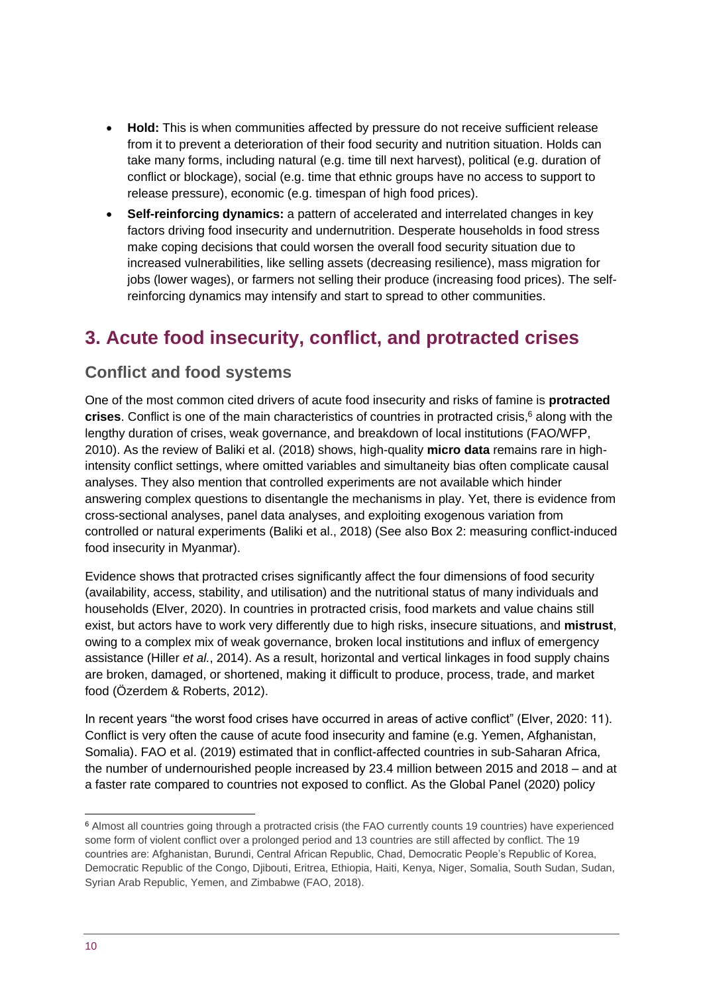- **Hold:** This is when communities affected by pressure do not receive sufficient release from it to prevent a deterioration of their food security and nutrition situation. Holds can take many forms, including natural (e.g. time till next harvest), political (e.g. duration of conflict or blockage), social (e.g. time that ethnic groups have no access to support to release pressure), economic (e.g. timespan of high food prices).
- **Self-reinforcing dynamics:** a pattern of accelerated and interrelated changes in key factors driving food insecurity and undernutrition. Desperate households in food stress make coping decisions that could worsen the overall food security situation due to increased vulnerabilities, like selling assets (decreasing resilience), mass migration for jobs (lower wages), or farmers not selling their produce (increasing food prices). The selfreinforcing dynamics may intensify and start to spread to other communities.

## <span id="page-9-0"></span>**3. Acute food insecurity, conflict, and protracted crises**

### **Conflict and food systems**

One of the most common cited drivers of acute food insecurity and risks of famine is **protracted crises**. Conflict is one of the main characteristics of countries in protracted crisis,<sup>6</sup> along with the lengthy duration of crises, weak governance, and breakdown of local institutions (FAO/WFP, 2010). As the review of Baliki et al. (2018) shows, high-quality **micro data** remains rare in highintensity conflict settings, where omitted variables and simultaneity bias often complicate causal analyses. They also mention that controlled experiments are not available which hinder answering complex questions to disentangle the mechanisms in play. Yet, there is evidence from cross-sectional analyses, panel data analyses, and exploiting exogenous variation from controlled or natural experiments (Baliki et al., 2018) (See also Box 2: measuring conflict-induced food insecurity in Myanmar).

Evidence shows that protracted crises significantly affect the four dimensions of food security (availability, access, stability, and utilisation) and the nutritional status of many individuals and households (Elver, 2020). In countries in protracted crisis, food markets and value chains still exist, but actors have to work very differently due to high risks, insecure situations, and **mistrust**, owing to a complex mix of weak governance, broken local institutions and influx of emergency assistance (Hiller *et al.*, 2014). As a result, horizontal and vertical linkages in food supply chains are broken, damaged, or shortened, making it difficult to produce, process, trade, and market food (Özerdem & Roberts, 2012).

In recent years "the worst food crises have occurred in areas of active conflict" (Elver, 2020: 11). Conflict is very often the cause of acute food insecurity and famine (e.g. Yemen, Afghanistan, Somalia). FAO et al. (2019) estimated that in conflict-affected countries in sub-Saharan Africa, the number of undernourished people increased by 23.4 million between 2015 and 2018 – and at a faster rate compared to countries not exposed to conflict. As the Global Panel (2020) policy

<sup>6</sup> Almost all countries going through a protracted crisis (the FAO currently counts 19 countries) have experienced some form of violent conflict over a prolonged period and 13 countries are still affected by conflict. The 19 countries are: Afghanistan, Burundi, Central African Republic, Chad, Democratic People's Republic of Korea, Democratic Republic of the Congo, Djibouti, Eritrea, Ethiopia, Haiti, Kenya, Niger, Somalia, South Sudan, Sudan, Syrian Arab Republic, Yemen, and Zimbabwe (FAO, 2018).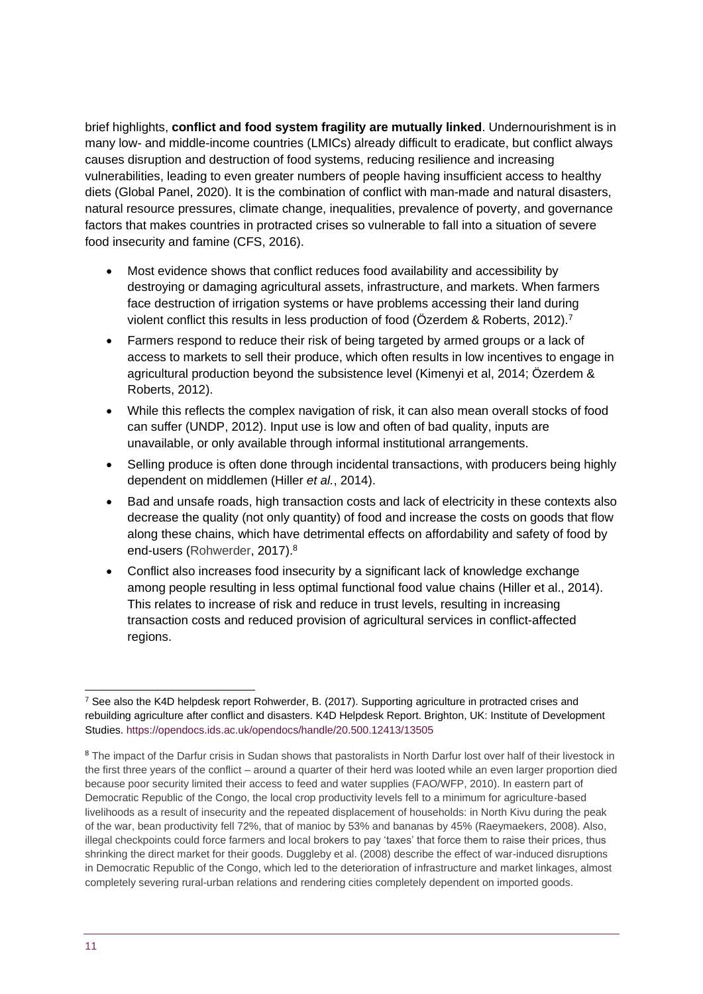brief highlights, **conflict and food system fragility are mutually linked**. Undernourishment is in many low- and middle-income countries (LMICs) already difficult to eradicate, but conflict always causes disruption and destruction of food systems, reducing resilience and increasing vulnerabilities, leading to even greater numbers of people having insufficient access to healthy diets (Global Panel, 2020). It is the combination of conflict with man-made and natural disasters, natural resource pressures, climate change, inequalities, prevalence of poverty, and governance factors that makes countries in protracted crises so vulnerable to fall into a situation of severe food insecurity and famine (CFS, 2016).

- Most evidence shows that conflict reduces food availability and accessibility by destroying or damaging agricultural assets, infrastructure, and markets. When farmers face destruction of irrigation systems or have problems accessing their land during violent conflict this results in less production of food (Özerdem & Roberts, 2012).<sup>7</sup>
- Farmers respond to reduce their risk of being targeted by armed groups or a lack of access to markets to sell their produce, which often results in low incentives to engage in agricultural production beyond the subsistence level (Kimenyi et al, 2014; Özerdem & Roberts, 2012).
- While this reflects the complex navigation of risk, it can also mean overall stocks of food can suffer (UNDP, 2012). Input use is low and often of bad quality, inputs are unavailable, or only available through informal institutional arrangements.
- Selling produce is often done through incidental transactions, with producers being highly dependent on middlemen (Hiller *et al.*, 2014).
- Bad and unsafe roads, high transaction costs and lack of electricity in these contexts also decrease the quality (not only quantity) of food and increase the costs on goods that flow along these chains, which have detrimental effects on affordability and safety of food by end-users (Rohwerder, 2017). 8
- Conflict also increases food insecurity by a significant lack of knowledge exchange among people resulting in less optimal functional food value chains (Hiller et al., 2014). This relates to increase of risk and reduce in trust levels, resulting in increasing transaction costs and reduced provision of agricultural services in conflict-affected regions.

<sup>7</sup> See also the K4D helpdesk report Rohwerder, B. (2017). Supporting agriculture in protracted crises and rebuilding agriculture after conflict and disasters. K4D Helpdesk Report. Brighton, UK: Institute of Development Studies.<https://opendocs.ids.ac.uk/opendocs/handle/20.500.12413/13505>

<sup>&</sup>lt;sup>8</sup> The impact of the Darfur crisis in Sudan shows that pastoralists in North Darfur lost over half of their livestock in the first three years of the conflict – around a quarter of their herd was looted while an even larger proportion died because poor security limited their access to feed and water supplies (FAO/WFP, 2010). In eastern part of Democratic Republic of the Congo, the local crop productivity levels fell to a minimum for agriculture-based livelihoods as a result of insecurity and the repeated displacement of households: in North Kivu during the peak of the war, bean productivity fell 72%, that of manioc by 53% and bananas by 45% (Raeymaekers, 2008). Also, illegal checkpoints could force farmers and local brokers to pay 'taxes' that force them to raise their prices, thus shrinking the direct market for their goods. Duggleby et al. (2008) describe the effect of war-induced disruptions in Democratic Republic of the Congo, which led to the deterioration of infrastructure and market linkages, almost completely severing rural-urban relations and rendering cities completely dependent on imported goods.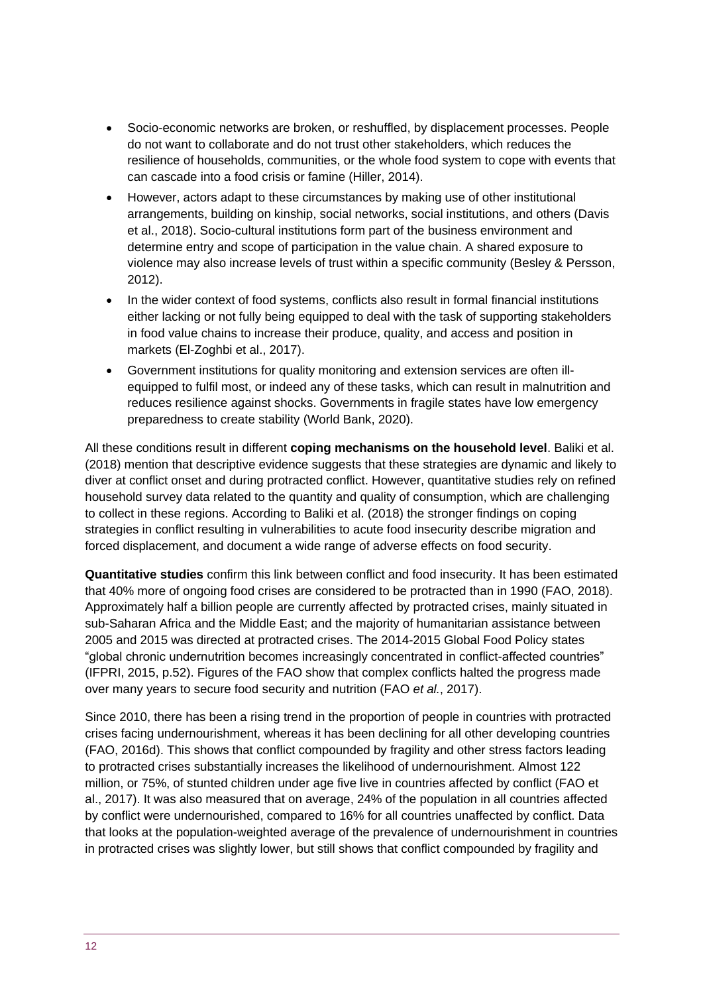- Socio-economic networks are broken, or reshuffled, by displacement processes. People do not want to collaborate and do not trust other stakeholders, which reduces the resilience of households, communities, or the whole food system to cope with events that can cascade into a food crisis or famine (Hiller, 2014).
- However, actors adapt to these circumstances by making use of other institutional arrangements, building on kinship, social networks, social institutions, and others (Davis et al., 2018). Socio-cultural institutions form part of the business environment and determine entry and scope of participation in the value chain. A shared exposure to violence may also increase levels of trust within a specific community (Besley & Persson, 2012).
- In the wider context of food systems, conflicts also result in formal financial institutions either lacking or not fully being equipped to deal with the task of supporting stakeholders in food value chains to increase their produce, quality, and access and position in markets (El-Zoghbi et al., 2017).
- Government institutions for quality monitoring and extension services are often illequipped to fulfil most, or indeed any of these tasks, which can result in malnutrition and reduces resilience against shocks. Governments in fragile states have low emergency preparedness to create stability (World Bank, 2020).

All these conditions result in different **coping mechanisms on the household level**. Baliki et al. (2018) mention that descriptive evidence suggests that these strategies are dynamic and likely to diver at conflict onset and during protracted conflict. However, quantitative studies rely on refined household survey data related to the quantity and quality of consumption, which are challenging to collect in these regions. According to Baliki et al. (2018) the stronger findings on coping strategies in conflict resulting in vulnerabilities to acute food insecurity describe migration and forced displacement, and document a wide range of adverse effects on food security.

**Quantitative studies** confirm this link between conflict and food insecurity. It has been estimated that 40% more of ongoing food crises are considered to be protracted than in 1990 (FAO, 2018). Approximately half a billion people are currently affected by protracted crises, mainly situated in sub-Saharan Africa and the Middle East; and the majority of humanitarian assistance between 2005 and 2015 was directed at protracted crises. The 2014-2015 Global Food Policy states "global chronic undernutrition becomes increasingly concentrated in conflict-affected countries" (IFPRI, 2015, p.52). Figures of the FAO show that complex conflicts halted the progress made over many years to secure food security and nutrition (FAO *et al.*, 2017).

Since 2010, there has been a rising trend in the proportion of people in countries with protracted crises facing undernourishment, whereas it has been declining for all other developing countries (FAO, 2016d). This shows that conflict compounded by fragility and other stress factors leading to protracted crises substantially increases the likelihood of undernourishment. Almost 122 million, or 75%, of stunted children under age five live in countries affected by conflict (FAO et al., 2017). It was also measured that on average, 24% of the population in all countries affected by conflict were undernourished, compared to 16% for all countries unaffected by conflict. Data that looks at the population-weighted average of the prevalence of undernourishment in countries in protracted crises was slightly lower, but still shows that conflict compounded by fragility and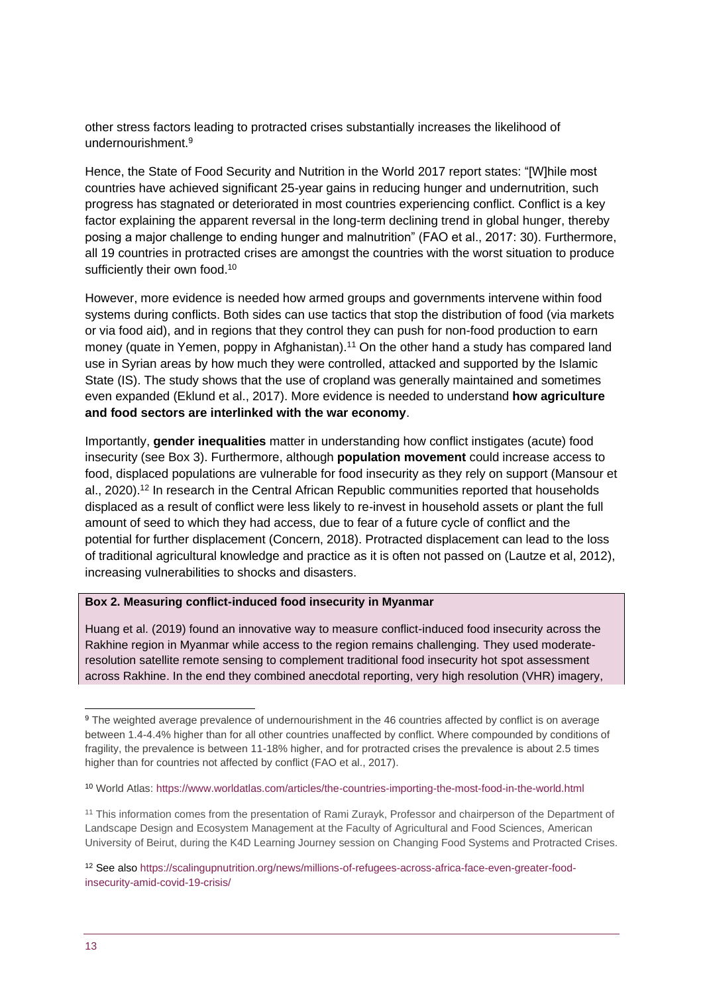other stress factors leading to protracted crises substantially increases the likelihood of undernourishment $9$ 

Hence, the State of Food Security and Nutrition in the World 2017 report states: "[W]hile most countries have achieved significant 25-year gains in reducing hunger and undernutrition, such progress has stagnated or deteriorated in most countries experiencing conflict. Conflict is a key factor explaining the apparent reversal in the long-term declining trend in global hunger, thereby posing a major challenge to ending hunger and malnutrition" (FAO et al., 2017: 30). Furthermore, all 19 countries in protracted crises are amongst the countries with the worst situation to produce sufficiently their own food.<sup>10</sup>

However, more evidence is needed how armed groups and governments intervene within food systems during conflicts. Both sides can use tactics that stop the distribution of food (via markets or via food aid), and in regions that they control they can push for non-food production to earn money (quate in Yemen, poppy in Afghanistan).<sup>11</sup> On the other hand a study has compared land use in Syrian areas by how much they were controlled, attacked and supported by the Islamic State (IS). The study shows that the use of cropland was generally maintained and sometimes even expanded (Eklund et al., 2017). More evidence is needed to understand **how agriculture and food sectors are interlinked with the war economy**.

Importantly, **gender inequalities** matter in understanding how conflict instigates (acute) food insecurity (see Box 3). Furthermore, although **population movement** could increase access to food, displaced populations are vulnerable for food insecurity as they rely on support (Mansour et al., 2020). <sup>12</sup> In research in the Central African Republic communities reported that households displaced as a result of conflict were less likely to re-invest in household assets or plant the full amount of seed to which they had access, due to fear of a future cycle of conflict and the potential for further displacement (Concern, 2018). Protracted displacement can lead to the loss of traditional agricultural knowledge and practice as it is often not passed on (Lautze et al, 2012), increasing vulnerabilities to shocks and disasters.

#### **Box 2. Measuring conflict-induced food insecurity in Myanmar**

Huang et al. (2019) found an innovative way to measure conflict-induced food insecurity across the Rakhine region in Myanmar while access to the region remains challenging. They used moderateresolution satellite remote sensing to complement traditional food insecurity hot spot assessment across Rakhine. In the end they combined anecdotal reporting, very high resolution (VHR) imagery,

<sup>9</sup> The weighted average prevalence of undernourishment in the 46 countries affected by conflict is on average between 1.4-4.4% higher than for all other countries unaffected by conflict. Where compounded by conditions of fragility, the prevalence is between 11-18% higher, and for protracted crises the prevalence is about 2.5 times higher than for countries not affected by conflict (FAO et al., 2017).

<sup>10</sup> World Atlas:<https://www.worldatlas.com/articles/the-countries-importing-the-most-food-in-the-world.html>

<sup>&</sup>lt;sup>11</sup> This information comes from the presentation of Rami Zurayk, Professor and chairperson of the Department of Landscape Design and Ecosystem Management at the Faculty of Agricultural and Food Sciences, American University of Beirut, during the K4D Learning Journey session on Changing Food Systems and Protracted Crises.

<sup>12</sup> See als[o https://scalingupnutrition.org/news/millions-of-refugees-across-africa-face-even-greater-food](https://scalingupnutrition.org/news/millions-of-refugees-across-africa-face-even-greater-food-insecurity-amid-covid-19-crisis/)[insecurity-amid-covid-19-crisis/](https://scalingupnutrition.org/news/millions-of-refugees-across-africa-face-even-greater-food-insecurity-amid-covid-19-crisis/)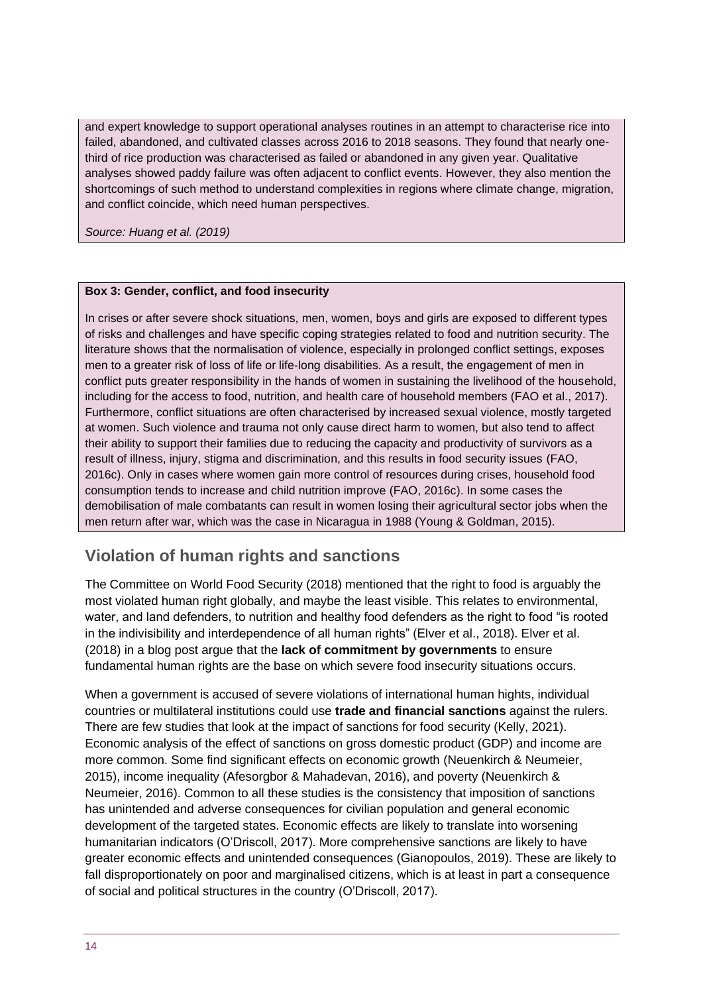and expert knowledge to support operational analyses routines in an attempt to characterise rice into failed, abandoned, and cultivated classes across 2016 to 2018 seasons. They found that nearly onethird of rice production was characterised as failed or abandoned in any given year. Qualitative analyses showed paddy failure was often adjacent to conflict events. However, they also mention the shortcomings of such method to understand complexities in regions where climate change, migration, and conflict coincide, which need human perspectives.

*Source: Huang et al. (2019)*

#### **Box 3: Gender, conflict, and food insecurity**

In crises or after severe shock situations, men, women, boys and girls are exposed to different types of risks and challenges and have specific coping strategies related to food and nutrition security. The literature shows that the normalisation of violence, especially in prolonged conflict settings, exposes men to a greater risk of loss of life or life-long disabilities. As a result, the engagement of men in conflict puts greater responsibility in the hands of women in sustaining the livelihood of the household, including for the access to food, nutrition, and health care of household members (FAO et al., 2017). Furthermore, conflict situations are often characterised by increased sexual violence, mostly targeted at women. Such violence and trauma not only cause direct harm to women, but also tend to affect their ability to support their families due to reducing the capacity and productivity of survivors as a result of illness, injury, stigma and discrimination, and this results in food security issues (FAO, 2016c). Only in cases where women gain more control of resources during crises, household food consumption tends to increase and child nutrition improve (FAO, 2016c). In some cases the demobilisation of male combatants can result in women losing their agricultural sector jobs when the men return after war, which was the case in Nicaragua in 1988 (Young & Goldman, 2015).

#### **Violation of human rights and sanctions**

The Committee on World Food Security (2018) mentioned that the right to food is arguably the most violated human right globally, and maybe the least visible. This relates to environmental, water, and land defenders, to nutrition and healthy food defenders as the right to food "is rooted in the indivisibility and interdependence of all human rights" (Elver et al., 2018). Elver et al. (2018) in a blog post argue that the **lack of commitment by governments** to ensure fundamental human rights are the base on which severe food insecurity situations occurs.

When a government is accused of severe violations of international human hights, individual countries or multilateral institutions could use **trade and financial sanctions** against the rulers. There are few studies that look at the impact of sanctions for food security (Kelly, 2021). Economic analysis of the effect of sanctions on gross domestic product (GDP) and income are more common. Some find significant effects on economic growth (Neuenkirch & Neumeier, 2015), income inequality (Afesorgbor & Mahadevan, 2016), and poverty (Neuenkirch & Neumeier, 2016). Common to all these studies is the consistency that imposition of sanctions has unintended and adverse consequences for civilian population and general economic development of the targeted states. Economic effects are likely to translate into worsening humanitarian indicators (O'Driscoll, 2017). More comprehensive sanctions are likely to have greater economic effects and unintended consequences (Gianopoulos, 2019). These are likely to fall disproportionately on poor and marginalised citizens, which is at least in part a consequence of social and political structures in the country (O'Driscoll, 2017).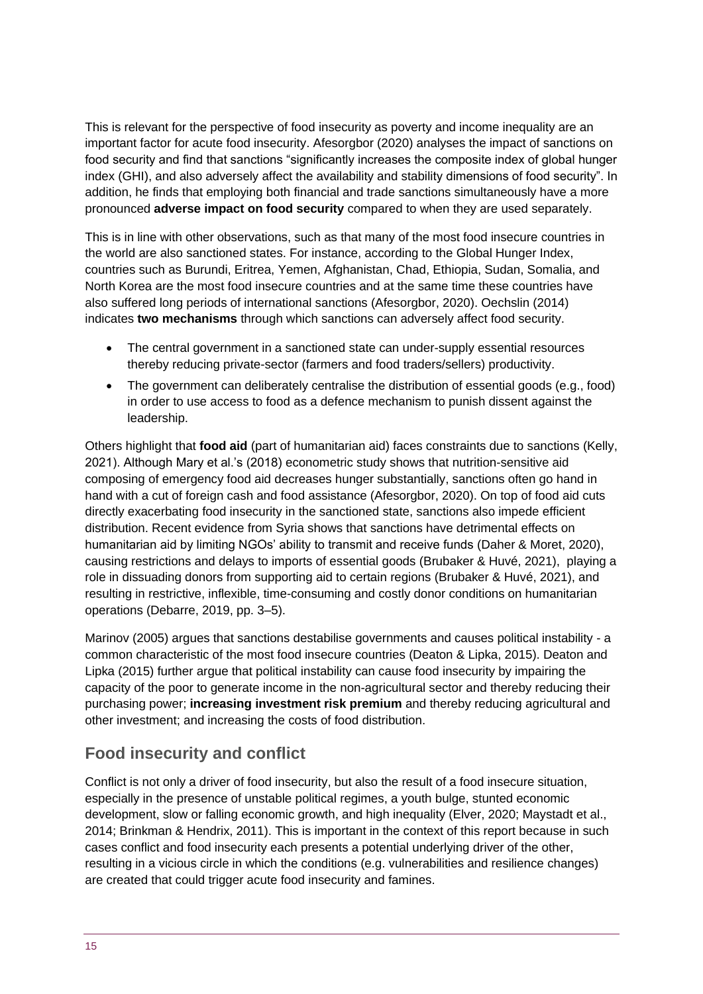This is relevant for the perspective of food insecurity as poverty and income inequality are an important factor for acute food insecurity. Afesorgbor (2020) analyses the impact of sanctions on food security and find that sanctions "significantly increases the composite index of global hunger index (GHI), and also adversely affect the availability and stability dimensions of food security". In addition, he finds that employing both financial and trade sanctions simultaneously have a more pronounced **adverse impact on food security** compared to when they are used separately.

This is in line with other observations, such as that many of the most food insecure countries in the world are also sanctioned states. For instance, according to the Global Hunger Index, countries such as Burundi, Eritrea, Yemen, Afghanistan, Chad, Ethiopia, Sudan, Somalia, and North Korea are the most food insecure countries and at the same time these countries have also suffered long periods of international sanctions (Afesorgbor, 2020). Oechslin (2014) indicates **two mechanisms** through which sanctions can adversely affect food security.

- The central government in a sanctioned state can under-supply essential resources thereby reducing private-sector (farmers and food traders/sellers) productivity.
- The government can deliberately centralise the distribution of essential goods (e.g., food) in order to use access to food as a defence mechanism to punish dissent against the leadership.

Others highlight that **food aid** (part of humanitarian aid) faces constraints due to sanctions (Kelly, 2021). Although Mary et al.'s (2018) econometric study shows that nutrition-sensitive aid composing of emergency food aid decreases hunger substantially, sanctions often go hand in hand with a cut of foreign cash and food assistance (Afesorgbor, 2020). On top of food aid cuts directly exacerbating food insecurity in the sanctioned state, sanctions also impede efficient distribution. Recent evidence from Syria shows that sanctions have detrimental effects on humanitarian aid by limiting NGOs' ability to transmit and receive funds (Daher & Moret, 2020), causing restrictions and delays to imports of essential goods (Brubaker & Huvé, 2021), playing a role in dissuading donors from supporting aid to certain regions (Brubaker & Huvé, 2021), and resulting in restrictive, inflexible, time-consuming and costly donor conditions on humanitarian operations (Debarre, 2019, pp. 3–5).

Marinov (2005) argues that sanctions destabilise governments and causes political instability - a common characteristic of the most food insecure countries (Deaton & Lipka, 2015). Deaton and Lipka (2015) further argue that political instability can cause food insecurity by impairing the capacity of the poor to generate income in the non-agricultural sector and thereby reducing their purchasing power; **increasing investment risk premium** and thereby reducing agricultural and other investment; and increasing the costs of food distribution.

## **Food insecurity and conflict**

Conflict is not only a driver of food insecurity, but also the result of a food insecure situation, especially in the presence of unstable political regimes, a youth bulge, stunted economic development, slow or falling economic growth, and high inequality (Elver, 2020; Maystadt et al., 2014; Brinkman & Hendrix, 2011). This is important in the context of this report because in such cases conflict and food insecurity each presents a potential underlying driver of the other, resulting in a vicious circle in which the conditions (e.g. vulnerabilities and resilience changes) are created that could trigger acute food insecurity and famines.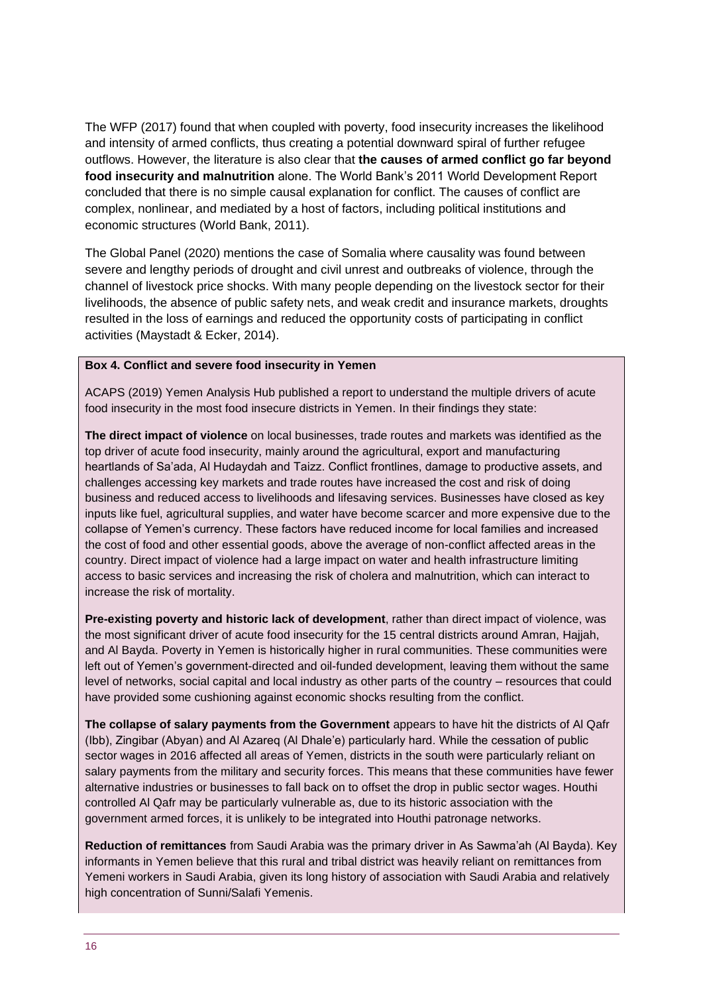The WFP (2017) found that when coupled with poverty, food insecurity increases the likelihood and intensity of armed conflicts, thus creating a potential downward spiral of further refugee outflows. However, the literature is also clear that **the causes of armed conflict go far beyond food insecurity and malnutrition** alone. The World Bank's 2011 World Development Report concluded that there is no simple causal explanation for conflict. The causes of conflict are complex, nonlinear, and mediated by a host of factors, including political institutions and economic structures (World Bank, 2011).

The Global Panel (2020) mentions the case of Somalia where causality was found between severe and lengthy periods of drought and civil unrest and outbreaks of violence, through the channel of livestock price shocks. With many people depending on the livestock sector for their livelihoods, the absence of public safety nets, and weak credit and insurance markets, droughts resulted in the loss of earnings and reduced the opportunity costs of participating in conflict activities (Maystadt & Ecker, 2014).

#### **Box 4. Conflict and severe food insecurity in Yemen**

ACAPS (2019) Yemen Analysis Hub published a report to understand the multiple drivers of acute food insecurity in the most food insecure districts in Yemen. In their findings they state:

**The direct impact of violence** on local businesses, trade routes and markets was identified as the top driver of acute food insecurity, mainly around the agricultural, export and manufacturing heartlands of Sa'ada, Al Hudaydah and Taizz. Conflict frontlines, damage to productive assets, and challenges accessing key markets and trade routes have increased the cost and risk of doing business and reduced access to livelihoods and lifesaving services. Businesses have closed as key inputs like fuel, agricultural supplies, and water have become scarcer and more expensive due to the collapse of Yemen's currency. These factors have reduced income for local families and increased the cost of food and other essential goods, above the average of non-conflict affected areas in the country. Direct impact of violence had a large impact on water and health infrastructure limiting access to basic services and increasing the risk of cholera and malnutrition, which can interact to increase the risk of mortality.

**Pre-existing poverty and historic lack of development**, rather than direct impact of violence, was the most significant driver of acute food insecurity for the 15 central districts around Amran, Hajjah, and Al Bayda. Poverty in Yemen is historically higher in rural communities. These communities were left out of Yemen's government-directed and oil-funded development, leaving them without the same level of networks, social capital and local industry as other parts of the country – resources that could have provided some cushioning against economic shocks resulting from the conflict.

**The collapse of salary payments from the Government** appears to have hit the districts of Al Qafr (Ibb), Zingibar (Abyan) and Al Azareq (Al Dhale'e) particularly hard. While the cessation of public sector wages in 2016 affected all areas of Yemen, districts in the south were particularly reliant on salary payments from the military and security forces. This means that these communities have fewer alternative industries or businesses to fall back on to offset the drop in public sector wages. Houthi controlled Al Qafr may be particularly vulnerable as, due to its historic association with the government armed forces, it is unlikely to be integrated into Houthi patronage networks.

**Reduction of remittances** from Saudi Arabia was the primary driver in As Sawma'ah (Al Bayda). Key informants in Yemen believe that this rural and tribal district was heavily reliant on remittances from Yemeni workers in Saudi Arabia, given its long history of association with Saudi Arabia and relatively high concentration of Sunni/Salafi Yemenis.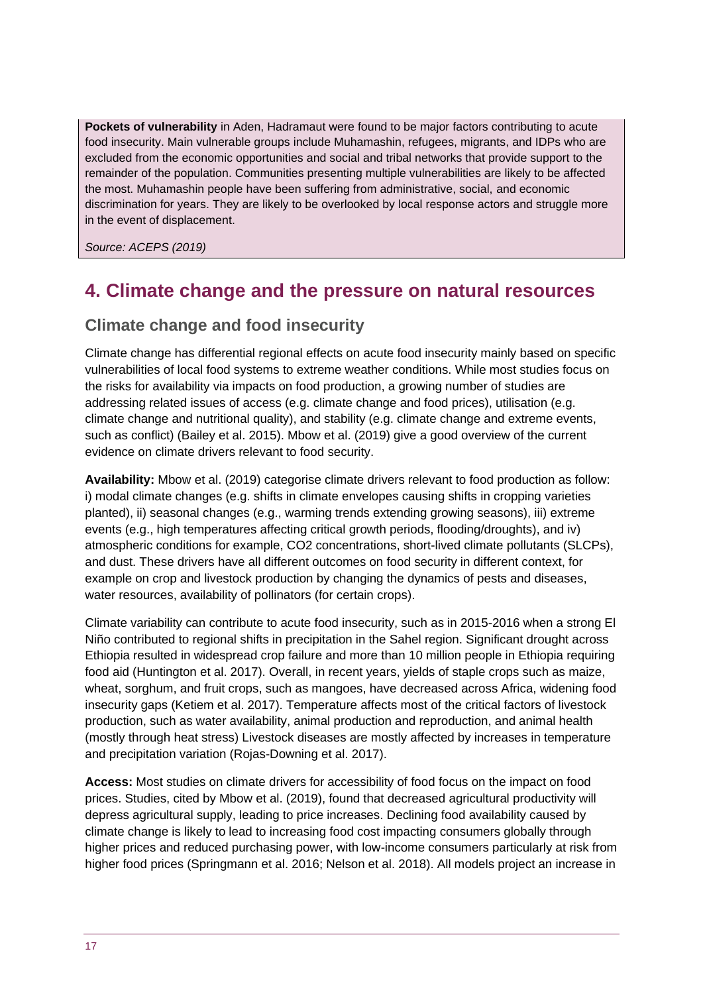**Pockets of vulnerability** in Aden, Hadramaut were found to be major factors contributing to acute food insecurity. Main vulnerable groups include Muhamashin, refugees, migrants, and IDPs who are excluded from the economic opportunities and social and tribal networks that provide support to the remainder of the population. Communities presenting multiple vulnerabilities are likely to be affected the most. Muhamashin people have been suffering from administrative, social, and economic discrimination for years. They are likely to be overlooked by local response actors and struggle more in the event of displacement.

*Source: ACEPS (2019)*

## <span id="page-16-0"></span>**4. Climate change and the pressure on natural resources**

### **Climate change and food insecurity**

Climate change has differential regional effects on acute food insecurity mainly based on specific vulnerabilities of local food systems to extreme weather conditions. While most studies focus on the risks for availability via impacts on food production, a growing number of studies are addressing related issues of access (e.g. climate change and food prices), utilisation (e.g. climate change and nutritional quality), and stability (e.g. climate change and extreme events, such as conflict) (Bailey et al. 2015). Mbow et al. (2019) give a good overview of the current evidence on climate drivers relevant to food security.

**Availability:** Mbow et al. (2019) categorise climate drivers relevant to food production as follow: i) modal climate changes (e.g. shifts in climate envelopes causing shifts in cropping varieties planted), ii) seasonal changes (e.g., warming trends extending growing seasons), iii) extreme events (e.g., high temperatures affecting critical growth periods, flooding/droughts), and iv) atmospheric conditions for example, CO2 concentrations, short-lived climate pollutants (SLCPs), and dust. These drivers have all different outcomes on food security in different context, for example on crop and livestock production by changing the dynamics of pests and diseases, water resources, availability of pollinators (for certain crops).

Climate variability can contribute to acute food insecurity, such as in 2015-2016 when a strong El Niño contributed to regional shifts in precipitation in the Sahel region. Significant drought across Ethiopia resulted in widespread crop failure and more than 10 million people in Ethiopia requiring food aid (Huntington et al. 2017). Overall, in recent years, yields of staple crops such as maize, wheat, sorghum, and fruit crops, such as mangoes, have decreased across Africa, widening food insecurity gaps (Ketiem et al. 2017). Temperature affects most of the critical factors of livestock production, such as water availability, animal production and reproduction, and animal health (mostly through heat stress) Livestock diseases are mostly affected by increases in temperature and precipitation variation (Rojas-Downing et al. 2017).

**Access:** Most studies on climate drivers for accessibility of food focus on the impact on food prices. Studies, cited by Mbow et al. (2019), found that decreased agricultural productivity will depress agricultural supply, leading to price increases. Declining food availability caused by climate change is likely to lead to increasing food cost impacting consumers globally through higher prices and reduced purchasing power, with low-income consumers particularly at risk from higher food prices (Springmann et al. 2016; Nelson et al. 2018). All models project an increase in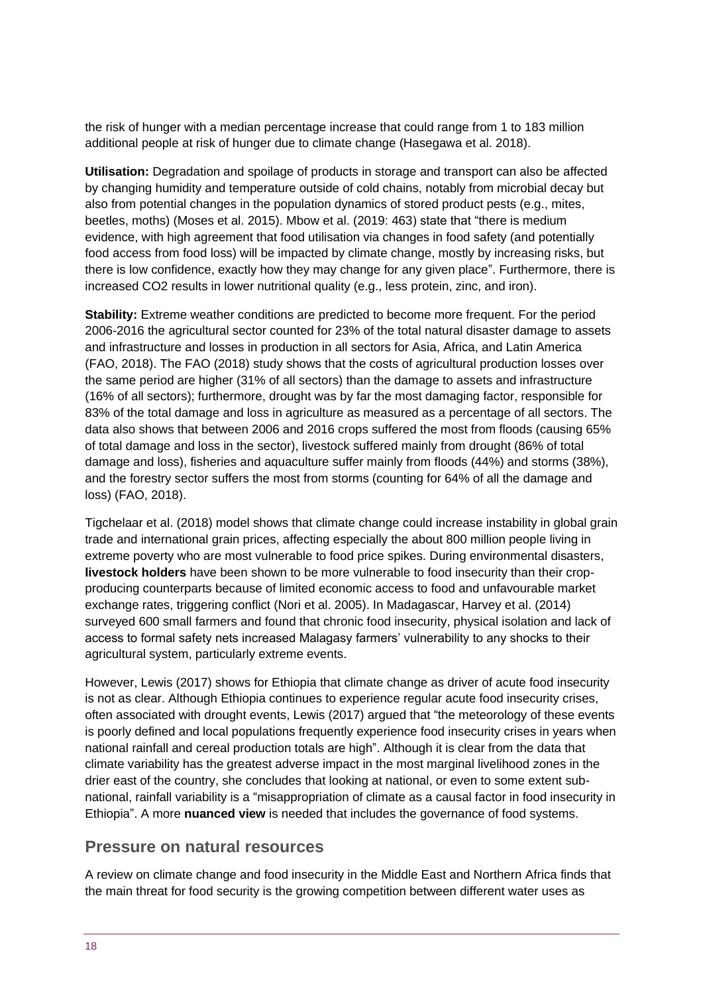the risk of hunger with a median percentage increase that could range from 1 to 183 million additional people at risk of hunger due to climate change (Hasegawa et al. 2018).

**Utilisation:** Degradation and spoilage of products in storage and transport can also be affected by changing humidity and temperature outside of cold chains, notably from microbial decay but also from potential changes in the population dynamics of stored product pests (e.g., mites, beetles, moths) (Moses et al. 2015). Mbow et al. (2019: 463) state that "there is medium evidence, with high agreement that food utilisation via changes in food safety (and potentially food access from food loss) will be impacted by climate change, mostly by increasing risks, but there is low confidence, exactly how they may change for any given place". Furthermore, there is increased CO2 results in lower nutritional quality (e.g., less protein, zinc, and iron).

**Stability:** Extreme weather conditions are predicted to become more frequent. For the period 2006-2016 the agricultural sector counted for 23% of the total natural disaster damage to assets and infrastructure and losses in production in all sectors for Asia, Africa, and Latin America (FAO, 2018). The FAO (2018) study shows that the costs of agricultural production losses over the same period are higher (31% of all sectors) than the damage to assets and infrastructure (16% of all sectors); furthermore, drought was by far the most damaging factor, responsible for 83% of the total damage and loss in agriculture as measured as a percentage of all sectors. The data also shows that between 2006 and 2016 crops suffered the most from floods (causing 65% of total damage and loss in the sector), livestock suffered mainly from drought (86% of total damage and loss), fisheries and aquaculture suffer mainly from floods (44%) and storms (38%), and the forestry sector suffers the most from storms (counting for 64% of all the damage and loss) (FAO, 2018).

Tigchelaar et al. (2018) model shows that climate change could increase instability in global grain trade and international grain prices, affecting especially the about 800 million people living in extreme poverty who are most vulnerable to food price spikes. During environmental disasters, **livestock holders** have been shown to be more vulnerable to food insecurity than their cropproducing counterparts because of limited economic access to food and unfavourable market exchange rates, triggering conflict (Nori et al. 2005). In Madagascar, Harvey et al. (2014) surveyed 600 small farmers and found that chronic food insecurity, physical isolation and lack of access to formal safety nets increased Malagasy farmers' vulnerability to any shocks to their agricultural system, particularly extreme events.

However, Lewis (2017) shows for Ethiopia that climate change as driver of acute food insecurity is not as clear. Although Ethiopia continues to experience regular acute food insecurity crises, often associated with drought events, Lewis (2017) argued that "the meteorology of these events is poorly defined and local populations frequently experience food insecurity crises in years when national rainfall and cereal production totals are high". Although it is clear from the data that climate variability has the greatest adverse impact in the most marginal livelihood zones in the drier east of the country, she concludes that looking at national, or even to some extent subnational, rainfall variability is a "misappropriation of climate as a causal factor in food insecurity in Ethiopia". A more **nuanced view** is needed that includes the governance of food systems.

#### **Pressure on natural resources**

A review on climate change and food insecurity in the Middle East and Northern Africa finds that the main threat for food security is the growing competition between different water uses as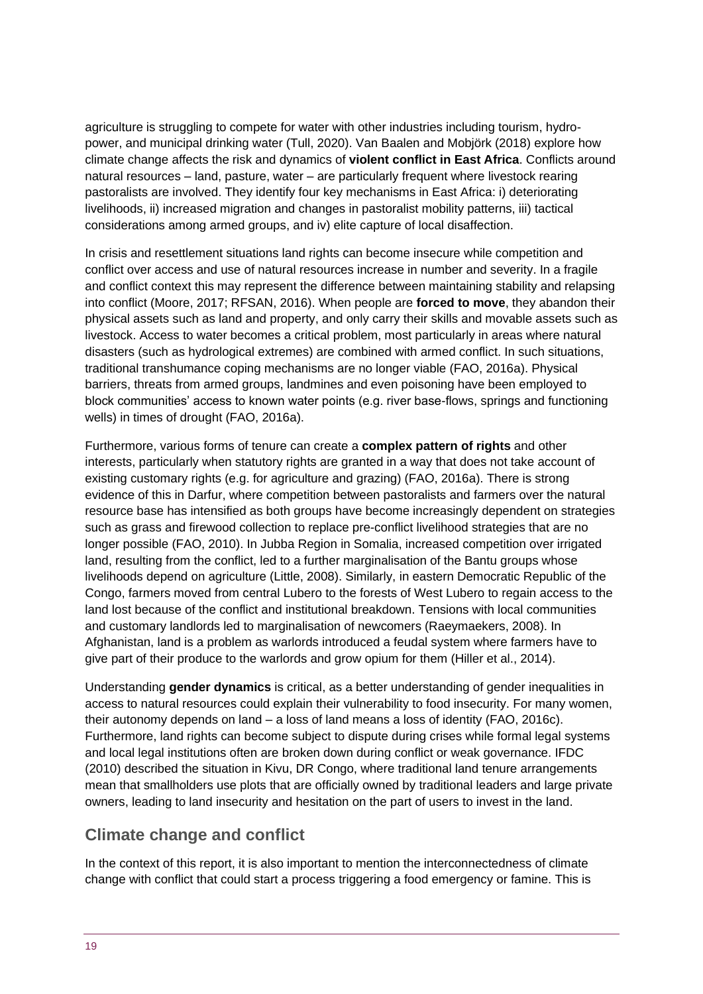agriculture is struggling to compete for water with other industries including tourism, hydropower, and municipal drinking water (Tull, 2020). Van Baalen and Mobjörk (2018) explore how climate change affects the risk and dynamics of **violent conflict in East Africa**. Conflicts around natural resources – land, pasture, water – are particularly frequent where livestock rearing pastoralists are involved. They identify four key mechanisms in East Africa: i) deteriorating livelihoods, ii) increased migration and changes in pastoralist mobility patterns, iii) tactical considerations among armed groups, and iv) elite capture of local disaffection.

In crisis and resettlement situations land rights can become insecure while competition and conflict over access and use of natural resources increase in number and severity. In a fragile and conflict context this may represent the difference between maintaining stability and relapsing into conflict (Moore, 2017; RFSAN, 2016). When people are **forced to move**, they abandon their physical assets such as land and property, and only carry their skills and movable assets such as livestock. Access to water becomes a critical problem, most particularly in areas where natural disasters (such as hydrological extremes) are combined with armed conflict. In such situations, traditional transhumance coping mechanisms are no longer viable (FAO, 2016a). Physical barriers, threats from armed groups, landmines and even poisoning have been employed to block communities' access to known water points (e.g. river base-flows, springs and functioning wells) in times of drought (FAO, 2016a).

Furthermore, various forms of tenure can create a **complex pattern of rights** and other interests, particularly when statutory rights are granted in a way that does not take account of existing customary rights (e.g. for agriculture and grazing) (FAO, 2016a). There is strong evidence of this in Darfur, where competition between pastoralists and farmers over the natural resource base has intensified as both groups have become increasingly dependent on strategies such as grass and firewood collection to replace pre-conflict livelihood strategies that are no longer possible (FAO, 2010). In Jubba Region in Somalia, increased competition over irrigated land, resulting from the conflict, led to a further marginalisation of the Bantu groups whose livelihoods depend on agriculture (Little, 2008). Similarly, in eastern Democratic Republic of the Congo, farmers moved from central Lubero to the forests of West Lubero to regain access to the land lost because of the conflict and institutional breakdown. Tensions with local communities and customary landlords led to marginalisation of newcomers (Raeymaekers, 2008). In Afghanistan, land is a problem as warlords introduced a feudal system where farmers have to give part of their produce to the warlords and grow opium for them (Hiller et al., 2014).

Understanding **gender dynamics** is critical, as a better understanding of gender inequalities in access to natural resources could explain their vulnerability to food insecurity. For many women, their autonomy depends on land – a loss of land means a loss of identity (FAO, 2016c). Furthermore, land rights can become subject to dispute during crises while formal legal systems and local legal institutions often are broken down during conflict or weak governance. IFDC (2010) described the situation in Kivu, DR Congo, where traditional land tenure arrangements mean that smallholders use plots that are officially owned by traditional leaders and large private owners, leading to land insecurity and hesitation on the part of users to invest in the land.

## **Climate change and conflict**

In the context of this report, it is also important to mention the interconnectedness of climate change with conflict that could start a process triggering a food emergency or famine. This is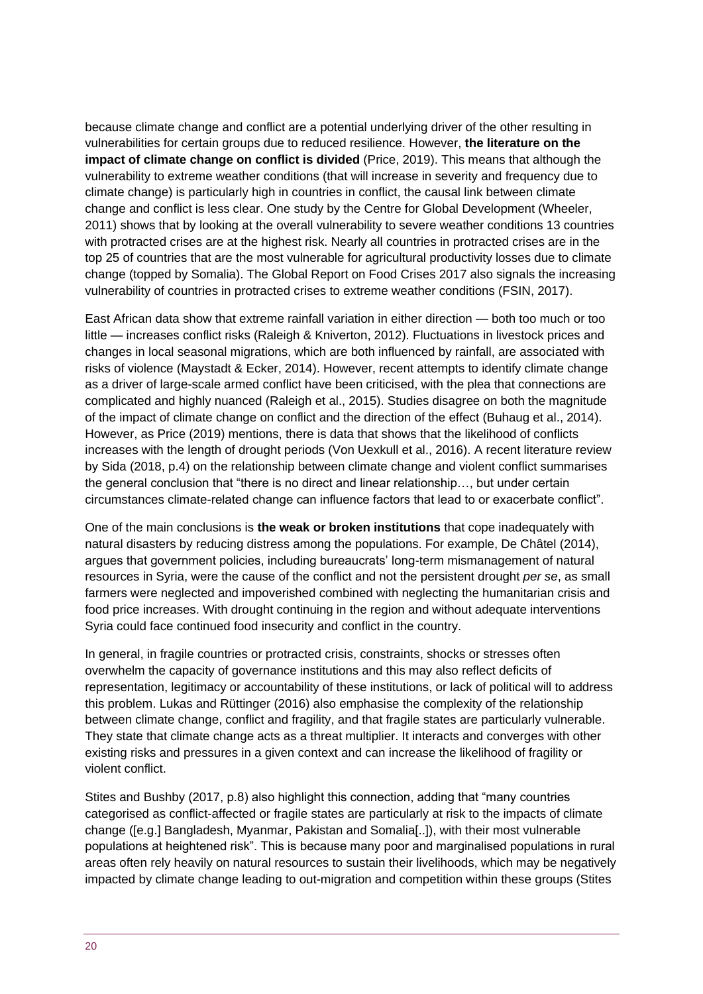because climate change and conflict are a potential underlying driver of the other resulting in vulnerabilities for certain groups due to reduced resilience. However, **the literature on the impact of climate change on conflict is divided** (Price, 2019). This means that although the vulnerability to extreme weather conditions (that will increase in severity and frequency due to climate change) is particularly high in countries in conflict, the causal link between climate change and conflict is less clear. One study by the Centre for Global Development (Wheeler, 2011) shows that by looking at the overall vulnerability to severe weather conditions 13 countries with protracted crises are at the highest risk. Nearly all countries in protracted crises are in the top 25 of countries that are the most vulnerable for agricultural productivity losses due to climate change (topped by Somalia). The Global Report on Food Crises 2017 also signals the increasing vulnerability of countries in protracted crises to extreme weather conditions (FSIN, 2017).

East African data show that extreme rainfall variation in either direction — both too much or too little — increases conflict risks (Raleigh & Kniverton, 2012). Fluctuations in livestock prices and changes in local seasonal migrations, which are both influenced by rainfall, are associated with risks of violence (Maystadt & Ecker, 2014). However, recent attempts to identify climate change as a driver of large-scale armed conflict have been criticised, with the plea that connections are complicated and highly nuanced (Raleigh et al., 2015). Studies disagree on both the magnitude of the impact of climate change on conflict and the direction of the effect (Buhaug et al., 2014). However, as Price (2019) mentions, there is data that shows that the likelihood of conflicts increases with the length of drought periods (Von Uexkull et al., 2016). A recent literature review by Sida (2018, p.4) on the relationship between climate change and violent conflict summarises the general conclusion that "there is no direct and linear relationship…, but under certain circumstances climate-related change can influence factors that lead to or exacerbate conflict".

One of the main conclusions is **the weak or broken institutions** that cope inadequately with natural disasters by reducing distress among the populations. For example, De Châtel (2014), argues that government policies, including bureaucrats' long-term mismanagement of natural resources in Syria, were the cause of the conflict and not the persistent drought *per se*, as small farmers were neglected and impoverished combined with neglecting the humanitarian crisis and food price increases. With drought continuing in the region and without adequate interventions Syria could face continued food insecurity and conflict in the country.

In general, in fragile countries or protracted crisis, constraints, shocks or stresses often overwhelm the capacity of governance institutions and this may also reflect deficits of representation, legitimacy or accountability of these institutions, or lack of political will to address this problem. Lukas and Rüttinger (2016) also emphasise the complexity of the relationship between climate change, conflict and fragility, and that fragile states are particularly vulnerable. They state that climate change acts as a threat multiplier. It interacts and converges with other existing risks and pressures in a given context and can increase the likelihood of fragility or violent conflict.

Stites and Bushby (2017, p.8) also highlight this connection, adding that "many countries" categorised as conflict-affected or fragile states are particularly at risk to the impacts of climate change ([e.g.] Bangladesh, Myanmar, Pakistan and Somalia[..]), with their most vulnerable populations at heightened risk". This is because many poor and marginalised populations in rural areas often rely heavily on natural resources to sustain their livelihoods, which may be negatively impacted by climate change leading to out-migration and competition within these groups (Stites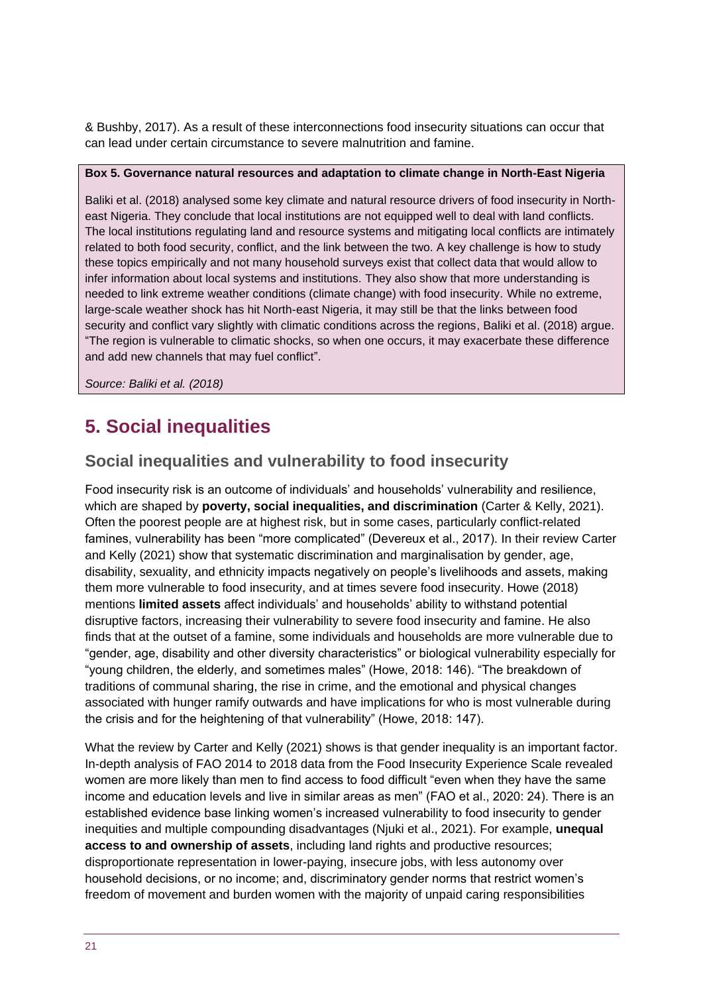& Bushby, 2017). As a result of these interconnections food insecurity situations can occur that can lead under certain circumstance to severe malnutrition and famine.

#### **Box 5. Governance natural resources and adaptation to climate change in North-East Nigeria**

Baliki et al. (2018) analysed some key climate and natural resource drivers of food insecurity in Northeast Nigeria. They conclude that local institutions are not equipped well to deal with land conflicts. The local institutions regulating land and resource systems and mitigating local conflicts are intimately related to both food security, conflict, and the link between the two. A key challenge is how to study these topics empirically and not many household surveys exist that collect data that would allow to infer information about local systems and institutions. They also show that more understanding is needed to link extreme weather conditions (climate change) with food insecurity. While no extreme, large-scale weather shock has hit North-east Nigeria, it may still be that the links between food security and conflict vary slightly with climatic conditions across the regions, Baliki et al. (2018) argue. "The region is vulnerable to climatic shocks, so when one occurs, it may exacerbate these difference and add new channels that may fuel conflict".

*Source: Baliki et al. (2018)*

## <span id="page-20-0"></span>**5. Social inequalities**

## **Social inequalities and vulnerability to food insecurity**

Food insecurity risk is an outcome of individuals' and households' vulnerability and resilience, which are shaped by **poverty, social inequalities, and discrimination** (Carter & Kelly, 2021). Often the poorest people are at highest risk, but in some cases, particularly conflict-related famines, vulnerability has been "more complicated" (Devereux et al., 2017). In their review Carter and Kelly (2021) show that systematic discrimination and marginalisation by gender, age, disability, sexuality, and ethnicity impacts negatively on people's livelihoods and assets, making them more vulnerable to food insecurity, and at times severe food insecurity. Howe (2018) mentions **limited assets** affect individuals' and households' ability to withstand potential disruptive factors, increasing their vulnerability to severe food insecurity and famine. He also finds that at the outset of a famine, some individuals and households are more vulnerable due to "gender, age, disability and other diversity characteristics" or biological vulnerability especially for "young children, the elderly, and sometimes males" (Howe, 2018: 146). "The breakdown of traditions of communal sharing, the rise in crime, and the emotional and physical changes associated with hunger ramify outwards and have implications for who is most vulnerable during the crisis and for the heightening of that vulnerability" (Howe, 2018: 147).

What the review by Carter and Kelly (2021) shows is that gender inequality is an important factor. In-depth analysis of FAO 2014 to 2018 data from the Food Insecurity Experience Scale revealed women are more likely than men to find access to food difficult "even when they have the same income and education levels and live in similar areas as men" (FAO et al., 2020: 24). There is an established evidence base linking women's increased vulnerability to food insecurity to gender inequities and multiple compounding disadvantages (Njuki et al., 2021). For example, **unequal access to and ownership of assets**, including land rights and productive resources; disproportionate representation in lower-paying, insecure jobs, with less autonomy over household decisions, or no income; and, discriminatory gender norms that restrict women's freedom of movement and burden women with the majority of unpaid caring responsibilities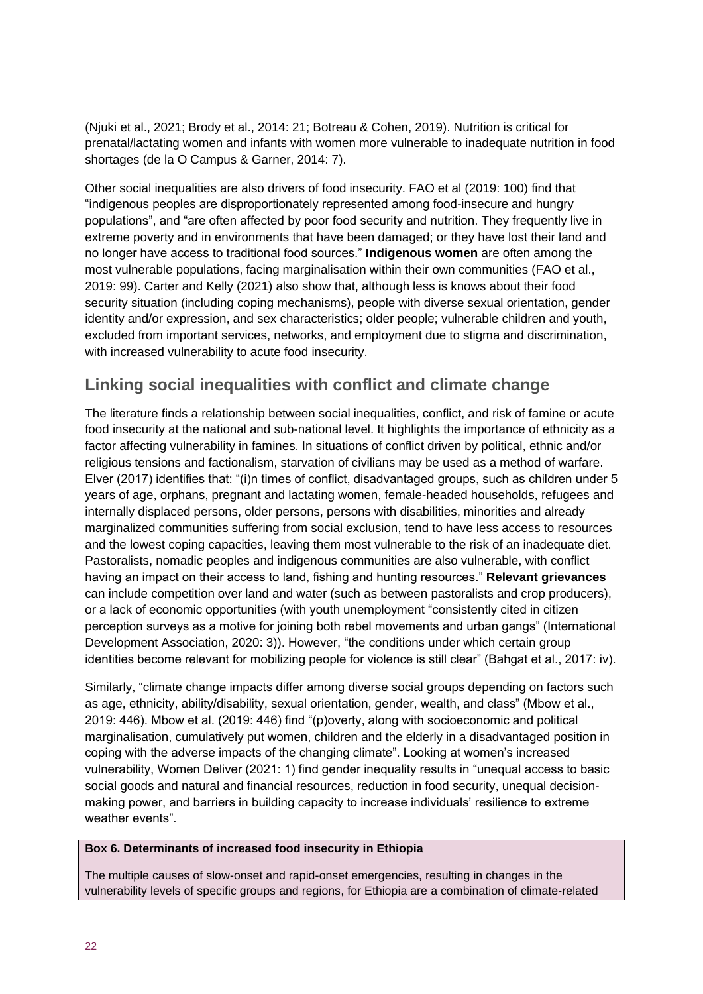(Njuki et al., 2021; Brody et al., 2014: 21; Botreau & Cohen, 2019). Nutrition is critical for prenatal/lactating women and infants with women more vulnerable to inadequate nutrition in food shortages (de la O Campus & Garner, 2014: 7).

Other social inequalities are also drivers of food insecurity. FAO et al (2019: 100) find that "indigenous peoples are disproportionately represented among food-insecure and hungry populations", and "are often affected by poor food security and nutrition. They frequently live in extreme poverty and in environments that have been damaged; or they have lost their land and no longer have access to traditional food sources." **Indigenous women** are often among the most vulnerable populations, facing marginalisation within their own communities (FAO et al., 2019: 99). Carter and Kelly (2021) also show that, although less is knows about their food security situation (including coping mechanisms), people with diverse sexual orientation, gender identity and/or expression, and sex characteristics; older people; vulnerable children and youth, excluded from important services, networks, and employment due to stigma and discrimination, with increased vulnerability to acute food insecurity.

## **Linking social inequalities with conflict and climate change**

The literature finds a relationship between social inequalities, conflict, and risk of famine or acute food insecurity at the national and sub-national level. It highlights the importance of ethnicity as a factor affecting vulnerability in famines. In situations of conflict driven by political, ethnic and/or religious tensions and factionalism, starvation of civilians may be used as a method of warfare. Elver (2017) identifies that: "(i)n times of conflict, disadvantaged groups, such as children under 5 years of age, orphans, pregnant and lactating women, female-headed households, refugees and internally displaced persons, older persons, persons with disabilities, minorities and already marginalized communities suffering from social exclusion, tend to have less access to resources and the lowest coping capacities, leaving them most vulnerable to the risk of an inadequate diet. Pastoralists, nomadic peoples and indigenous communities are also vulnerable, with conflict having an impact on their access to land, fishing and hunting resources." **Relevant grievances** can include competition over land and water (such as between pastoralists and crop producers), or a lack of economic opportunities (with youth unemployment "consistently cited in citizen perception surveys as a motive for joining both rebel movements and urban gangs" (International Development Association, 2020: 3)). However, "the conditions under which certain group identities become relevant for mobilizing people for violence is still clear" (Bahgat et al., 2017: iv).

Similarly, "climate change impacts differ among diverse social groups depending on factors such as age, ethnicity, ability/disability, sexual orientation, gender, wealth, and class" (Mbow et al., 2019: 446). Mbow et al. (2019: 446) find "(p)overty, along with socioeconomic and political marginalisation, cumulatively put women, children and the elderly in a disadvantaged position in coping with the adverse impacts of the changing climate". Looking at women's increased vulnerability, Women Deliver (2021: 1) find gender inequality results in "unequal access to basic social goods and natural and financial resources, reduction in food security, unequal decisionmaking power, and barriers in building capacity to increase individuals' resilience to extreme weather events".

#### **Box 6. Determinants of increased food insecurity in Ethiopia**

The multiple causes of slow-onset and rapid-onset emergencies, resulting in changes in the vulnerability levels of specific groups and regions, for Ethiopia are a combination of climate-related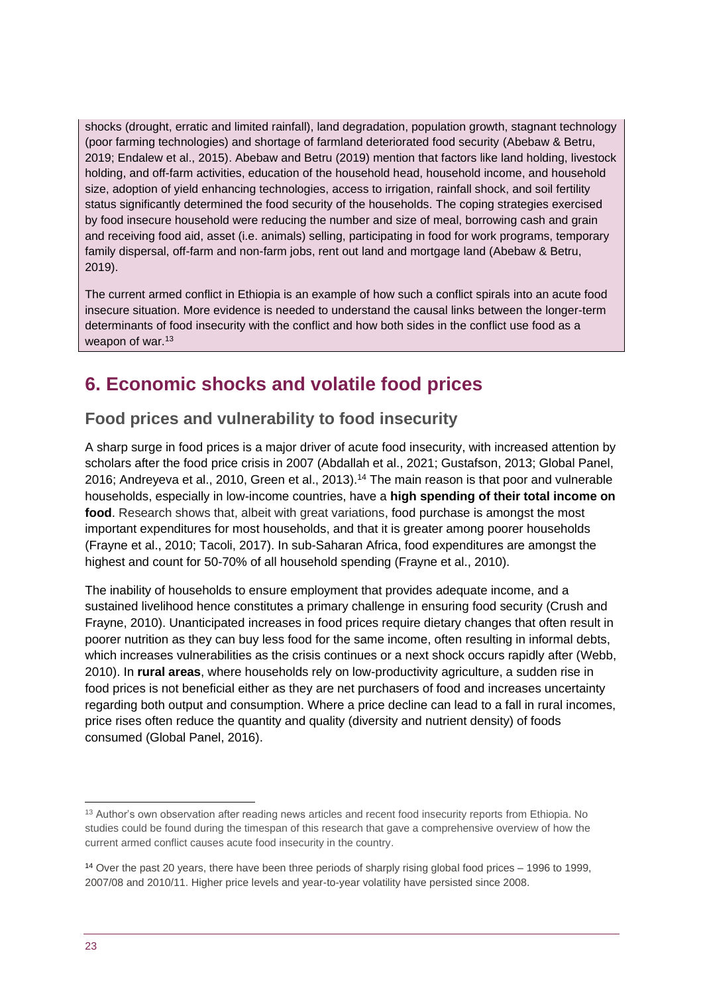shocks (drought, erratic and limited rainfall), land degradation, population growth, stagnant technology (poor farming technologies) and shortage of farmland deteriorated food security (Abebaw & Betru, 2019; Endalew et al., 2015). Abebaw and Betru (2019) mention that factors like land holding, livestock holding, and off-farm activities, education of the household head, household income, and household size, adoption of yield enhancing technologies, access to irrigation, rainfall shock, and soil fertility status significantly determined the food security of the households. The coping strategies exercised by food insecure household were reducing the number and size of meal, borrowing cash and grain and receiving food aid, asset (i.e. animals) selling, participating in food for work programs, temporary family dispersal, off-farm and non-farm jobs, rent out land and mortgage land (Abebaw & Betru, 2019).

The current armed conflict in Ethiopia is an example of how such a conflict spirals into an acute food insecure situation. More evidence is needed to understand the causal links between the longer-term determinants of food insecurity with the conflict and how both sides in the conflict use food as a weapon of war.<sup>13</sup>

## <span id="page-22-0"></span>**6. Economic shocks and volatile food prices**

## **Food prices and vulnerability to food insecurity**

A sharp surge in food prices is a major driver of acute food insecurity, with increased attention by scholars after the food price crisis in 2007 (Abdallah et al., 2021; Gustafson, 2013; Global Panel, 2016; Andreyeva et al., 2010, Green et al., 2013).<sup>14</sup> The main reason is that poor and vulnerable households, especially in low-income countries, have a **high spending of their total income on food**. Research shows that, albeit with great variations, food purchase is amongst the most important expenditures for most households, and that it is greater among poorer households (Frayne et al., 2010; Tacoli, 2017). In sub-Saharan Africa, food expenditures are amongst the highest and count for 50-70% of all household spending (Frayne et al., 2010).

The inability of households to ensure employment that provides adequate income, and a sustained livelihood hence constitutes a primary challenge in ensuring food security (Crush and Frayne, 2010). Unanticipated increases in food prices require dietary changes that often result in poorer nutrition as they can buy less food for the same income, often resulting in informal debts, which increases vulnerabilities as the crisis continues or a next shock occurs rapidly after (Webb, 2010). In **rural areas**, where households rely on low-productivity agriculture, a sudden rise in food prices is not beneficial either as they are net purchasers of food and increases uncertainty regarding both output and consumption. Where a price decline can lead to a fall in rural incomes, price rises often reduce the quantity and quality (diversity and nutrient density) of foods consumed (Global Panel, 2016).

<sup>&</sup>lt;sup>13</sup> Author's own observation after reading news articles and recent food insecurity reports from Ethiopia. No studies could be found during the timespan of this research that gave a comprehensive overview of how the current armed conflict causes acute food insecurity in the country.

<sup>14</sup> Over the past 20 years, there have been three periods of sharply rising global food prices – 1996 to 1999, 2007/08 and 2010/11. Higher price levels and year-to-year volatility have persisted since 2008.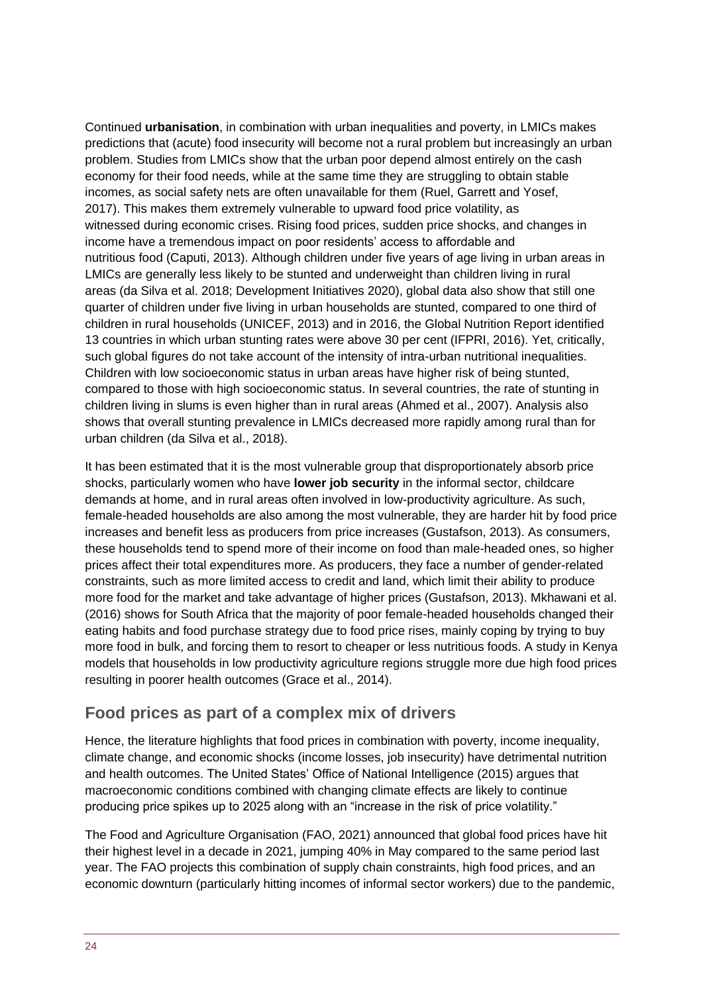Continued **urbanisation**, in combination with urban inequalities and poverty, in LMICs makes predictions that (acute) food insecurity will become not a rural problem but increasingly an urban problem. Studies from LMICs show that the urban poor depend almost entirely on the cash economy for their food needs, while at the same time they are struggling to obtain stable incomes, as social safety nets are often unavailable for them (Ruel, Garrett and Yosef, 2017). This makes them extremely vulnerable to upward food price volatility, as witnessed during economic crises. Rising food prices, sudden price shocks, and changes in income have a tremendous impact on poor residents' access to affordable and nutritious food (Caputi, 2013). Although children under five years of age living in urban areas in LMICs are generally less likely to be stunted and underweight than children living in rural areas (da Silva et al. 2018; Development Initiatives 2020), global data also show that still one quarter of children under five living in urban households are stunted, compared to one third of children in rural households (UNICEF, 2013) and in 2016, the Global Nutrition Report identified 13 countries in which urban stunting rates were above 30 per cent (IFPRI, 2016). Yet, critically, such global figures do not take account of the intensity of intra-urban nutritional inequalities. Children with low socioeconomic status in urban areas have higher risk of being stunted, compared to those with high socioeconomic status. In several countries, the rate of stunting in children living in slums is even higher than in rural areas (Ahmed et al., 2007). Analysis also shows that overall stunting prevalence in LMICs decreased more rapidly among rural than for urban children (da Silva et al., 2018).

It has been estimated that it is the most vulnerable group that disproportionately absorb price shocks, particularly women who have **lower job security** in the informal sector, childcare demands at home, and in rural areas often involved in low-productivity agriculture. As such, female-headed households are also among the most vulnerable, they are harder hit by food price increases and benefit less as producers from price increases (Gustafson, 2013). As consumers, these households tend to spend more of their income on food than male-headed ones, so higher prices affect their total expenditures more. As producers, they face a number of gender-related constraints, such as more limited access to credit and land, which limit their ability to produce more food for the market and take advantage of higher prices (Gustafson, 2013). Mkhawani et al. (2016) shows for South Africa that the majority of poor female-headed households changed their eating habits and food purchase strategy due to food price rises, mainly coping by trying to buy more food in bulk, and forcing them to resort to cheaper or less nutritious foods. A study in Kenya models that households in low productivity agriculture regions struggle more due high food prices resulting in poorer health outcomes (Grace et al., 2014).

### **Food prices as part of a complex mix of drivers**

Hence, the literature highlights that food prices in combination with poverty, income inequality, climate change, and economic shocks (income losses, job insecurity) have detrimental nutrition and health outcomes. The United States' Office of National Intelligence (2015) argues that macroeconomic conditions combined with changing climate effects are likely to continue producing price spikes up to 2025 along with an "increase in the risk of price volatility."

The Food and Agriculture Organisation (FAO, 2021) announced that global food prices have hit their [highest level in a decade](http://www.fao.org/worldfoodsituation/foodpricesindex/en/) in 2021, jumping 40% in May compared to the same period last year. The FAO projects this combination of supply chain constraints, high food prices, and an economic downturn (particularly hitting incomes of informal sector workers) due to the pandemic,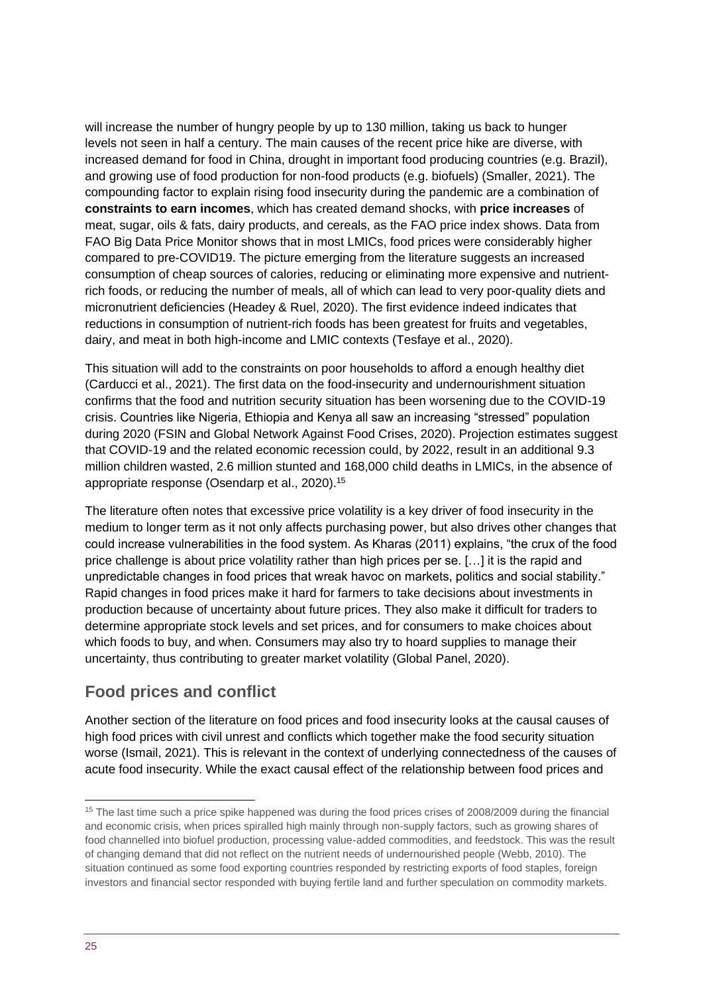will increase the [number of hungry people](http://www.fao.org/3/ca9692en/online/ca9692en.html) by up to 130 million, taking us back to [hunger](https://unsdg.un.org/resources/policy-brief-impact-covid-19-food-security-and-nutrition)  [levels](https://unsdg.un.org/resources/policy-brief-impact-covid-19-food-security-and-nutrition) not seen in half a century. The main causes of the recent price hike are diverse, with increased demand for food in China, drought in important food producing countries (e.g. Brazil), and growing use of food production for non-food products (e.g. biofuels) (Smaller, 2021). The compounding factor to explain rising food insecurity during the pandemic are a combination of **constraints to earn incomes**, which has created demand shocks, with **price increases** of meat, sugar, oils & fats, dairy products, and cereals, as the FAO price index shows. Data from FAO Big Data Price Monitor shows that in most LMICs, food prices were considerably higher compared to pre-COVID19. The picture emerging from the literature suggests an increased consumption of cheap sources of calories, reducing or eliminating more expensive and nutrientrich foods, or reducing the number of meals, all of which can lead to very poor-quality diets and micronutrient deficiencies (Headey & Ruel, 2020). The first evidence indeed indicates that reductions in consumption of nutrient-rich foods has been greatest for fruits and vegetables, dairy, and meat in both high-income and LMIC contexts (Tesfaye et al., 2020).

This situation will add to the constraints on poor households to afford a enough healthy diet (Carducci et al., 2021). The first data on the food-insecurity and undernourishment situation confirms that the food and nutrition security situation has been worsening due to the COVID-19 crisis. Countries like Nigeria, Ethiopia and Kenya all saw an increasing "stressed" population during 2020 (FSIN and Global Network Against Food Crises, 2020). Projection estimates suggest that COVID-19 and the related economic recession could, by 2022, result in an additional 9.3 million children wasted, 2.6 million stunted and 168,000 child deaths in LMICs, in the absence of appropriate response (Osendarp et al., 2020).<sup>15</sup>

The literature often notes that excessive price volatility is a key driver of food insecurity in the medium to longer term as it not only affects purchasing power, but also drives other changes that could increase vulnerabilities in the food system. As Kharas (2011) explains, "the crux of the food price challenge is about price volatility rather than high prices per se. […] it is the rapid and unpredictable changes in food prices that wreak havoc on markets, politics and social stability." Rapid changes in food prices make it hard for farmers to take decisions about investments in production because of uncertainty about future prices. They also make it difficult for traders to determine appropriate stock levels and set prices, and for consumers to make choices about which foods to buy, and when. Consumers may also try to hoard supplies to manage their uncertainty, thus contributing to greater market volatility (Global Panel, 2020).

## **Food prices and conflict**

Another section of the literature on food prices and food insecurity looks at the causal causes of high food prices with civil unrest and conflicts which together make the food security situation worse (Ismail, 2021). This is relevant in the context of underlying connectedness of the causes of acute food insecurity. While the exact causal effect of the relationship between food prices and

<sup>&</sup>lt;sup>15</sup> The last time such a price spike happened was during the food prices crises of 2008/2009 during the financial and economic crisis, when prices spiralled high mainly through non-supply factors, such as growing shares of food channelled into biofuel production, processing value-added commodities, and feedstock. This was the result of changing demand that did not reflect on the nutrient needs of undernourished people (Webb, 2010). The situation continued as some food exporting countries responded by restricting exports of food staples, foreign investors and financial sector responded with buying fertile land and further speculation on commodity markets.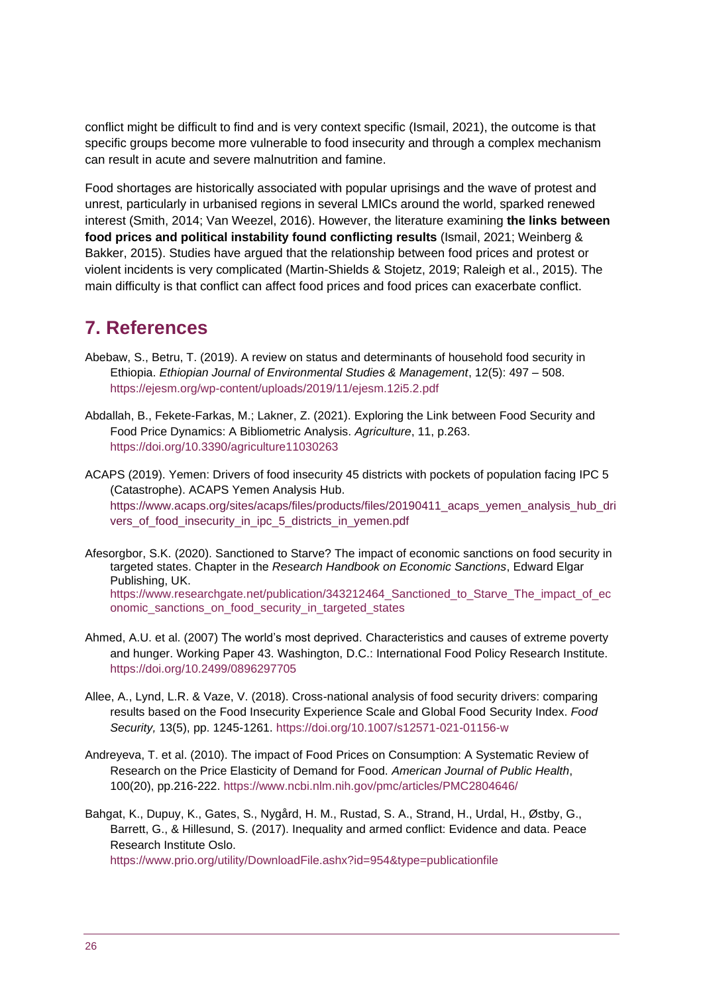conflict might be difficult to find and is very context specific (Ismail, 2021), the outcome is that specific groups become more vulnerable to food insecurity and through a complex mechanism can result in acute and severe malnutrition and famine.

Food shortages are historically associated with popular uprisings and the wave of protest and unrest, particularly in urbanised regions in several LMICs around the world, sparked renewed interest (Smith, 2014; Van Weezel, 2016). However, the literature examining **the links between food prices and political instability found conflicting results** (Ismail, 2021; Weinberg & Bakker, 2015). Studies have argued that the relationship between food prices and protest or violent incidents is very complicated (Martin-Shields & Stojetz, 2019; Raleigh et al., 2015). The main difficulty is that conflict can affect food prices and food prices can exacerbate conflict.

## <span id="page-25-0"></span>**7. References**

- Abebaw, S., Betru, T. (2019). A review on status and determinants of household food security in Ethiopia. *Ethiopian Journal of Environmental Studies & Management*, 12(5): 497 – 508. <https://ejesm.org/wp-content/uploads/2019/11/ejesm.12i5.2.pdf>
- Abdallah, B., Fekete-Farkas, M.; Lakner, Z. (2021). Exploring the Link between Food Security and Food Price Dynamics: A Bibliometric Analysis. *Agriculture*, 11, p.263. <https://doi.org/10.3390/agriculture11030263>

ACAPS (2019). Yemen: Drivers of food insecurity 45 districts with pockets of population facing IPC 5 (Catastrophe). ACAPS Yemen Analysis Hub. [https://www.acaps.org/sites/acaps/files/products/files/20190411\\_acaps\\_yemen\\_analysis\\_hub\\_dri](https://www.acaps.org/sites/acaps/files/products/files/20190411_acaps_yemen_analysis_hub_drivers_of_food_insecurity_in_ipc_5_districts_in_yemen.pdf) [vers\\_of\\_food\\_insecurity\\_in\\_ipc\\_5\\_districts\\_in\\_yemen.pdf](https://www.acaps.org/sites/acaps/files/products/files/20190411_acaps_yemen_analysis_hub_drivers_of_food_insecurity_in_ipc_5_districts_in_yemen.pdf)

- Afesorgbor, S.K. (2020). Sanctioned to Starve? The impact of economic sanctions on food security in targeted states. Chapter in the *Research Handbook on Economic Sanctions*, Edward Elgar Publishing, UK. [https://www.researchgate.net/publication/343212464\\_Sanctioned\\_to\\_Starve\\_The\\_impact\\_of\\_ec](https://www.researchgate.net/publication/343212464_Sanctioned_to_Starve_The_impact_of_economic_sanctions_on_food_security_in_targeted_states) [onomic\\_sanctions\\_on\\_food\\_security\\_in\\_targeted\\_states](https://www.researchgate.net/publication/343212464_Sanctioned_to_Starve_The_impact_of_economic_sanctions_on_food_security_in_targeted_states)
- Ahmed, A.U. et al. (2007) The world's most deprived. Characteristics and causes of extreme poverty and hunger. Working Paper 43. Washington, D.C.: International Food Policy Research Institute. <https://doi.org/10.2499/0896297705>
- Allee, A., Lynd, L.R. & Vaze, V. (2018). Cross-national analysis of food security drivers: comparing results based on the Food Insecurity Experience Scale and Global Food Security Index. *Food Security,* 13(5), pp. 1245-1261.<https://doi.org/10.1007/s12571-021-01156-w>
- Andreyeva, T. et al. (2010). The impact of Food Prices on Consumption: A Systematic Review of Research on the Price Elasticity of Demand for Food. *American Journal of Public Health*, 100(20), pp.216-222. <https://www.ncbi.nlm.nih.gov/pmc/articles/PMC2804646/>
- Bahgat, K., Dupuy, K., Gates, S., Nygård, H. M., Rustad, S. A., Strand, H., Urdal, H., Østby, G., Barrett, G., & Hillesund, S. (2017). Inequality and armed conflict: Evidence and data. Peace Research Institute Oslo.

<https://www.prio.org/utility/DownloadFile.ashx?id=954&type=publicationfile>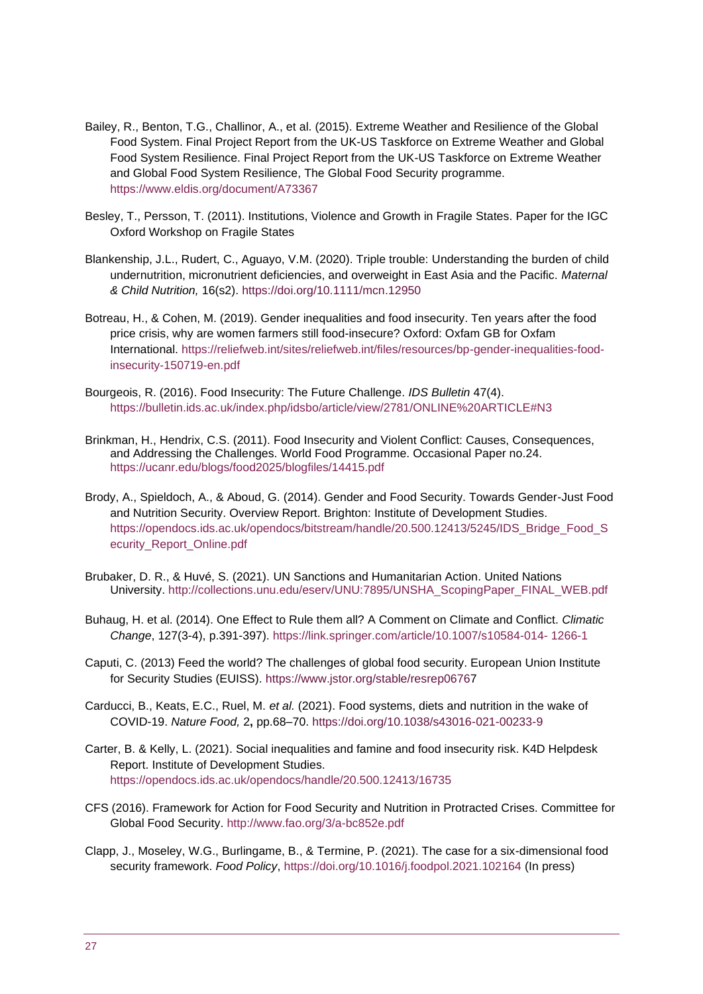- Bailey, R., Benton, T.G., Challinor, A., et al. (2015). Extreme Weather and Resilience of the Global Food System. Final Project Report from the UK-US Taskforce on Extreme Weather and Global Food System Resilience. Final Project Report from the UK-US Taskforce on Extreme Weather and Global Food System Resilience, The Global Food Security programme. <https://www.eldis.org/document/A73367>
- Besley, T., Persson, T. (2011). Institutions, Violence and Growth in Fragile States. Paper for the IGC Oxford Workshop on Fragile States
- Blankenship, J.L., Rudert, C., Aguayo, V.M. (2020). Triple trouble: Understanding the burden of child undernutrition, micronutrient deficiencies, and overweight in East Asia and the Pacific. *Maternal & Child Nutrition,* 16(s2).<https://doi.org/10.1111/mcn.12950>
- Botreau, H., & Cohen, M. (2019). Gender inequalities and food insecurity. Ten years after the food price crisis, why are women farmers still food-insecure? Oxford: Oxfam GB for Oxfam International. [https://reliefweb.int/sites/reliefweb.int/files/resources/bp-gender-inequalities-food](https://reliefweb.int/sites/reliefweb.int/files/resources/bp-gender-inequalities-food-insecurity-150719-en.pdf)[insecurity-150719-en.pdf](https://reliefweb.int/sites/reliefweb.int/files/resources/bp-gender-inequalities-food-insecurity-150719-en.pdf)
- Bourgeois, R. (2016). Food Insecurity: The Future Challenge. *IDS Bulletin* 47(4). <https://bulletin.ids.ac.uk/index.php/idsbo/article/view/2781/ONLINE%20ARTICLE#N3>
- Brinkman, H., Hendrix, C.S. (2011). Food Insecurity and Violent Conflict: Causes, Consequences, and Addressing the Challenges. World Food Programme. Occasional Paper no.24. <https://ucanr.edu/blogs/food2025/blogfiles/14415.pdf>
- Brody, A., Spieldoch, A., & Aboud, G. (2014). Gender and Food Security. Towards Gender-Just Food and Nutrition Security. Overview Report. Brighton: Institute of Development Studies. [https://opendocs.ids.ac.uk/opendocs/bitstream/handle/20.500.12413/5245/IDS\\_Bridge\\_Food\\_S](https://opendocs.ids.ac.uk/opendocs/bitstream/handle/20.500.12413/5245/IDS_Bridge_Food_S%20ecurity_Report_Online.pdf)  [ecurity\\_Report\\_Online.pdf](https://opendocs.ids.ac.uk/opendocs/bitstream/handle/20.500.12413/5245/IDS_Bridge_Food_S%20ecurity_Report_Online.pdf)
- Brubaker, D. R., & Huvé, S. (2021). UN Sanctions and Humanitarian Action. United Nations University. [http://collections.unu.edu/eserv/UNU:7895/UNSHA\\_ScopingPaper\\_FINAL\\_WEB.pdf](http://collections.unu.edu/eserv/UNU:7895/UNSHA_ScopingPaper_FINAL_WEB.pdf)
- Buhaug, H. et al. (2014). One Effect to Rule them all? A Comment on Climate and Conflict. *Climatic Change*, 127(3-4), p.391-397). [https://link.springer.com/article/10.1007/s10584-014-](https://link.springer.com/article/10.1007/s10584-014-%201266-1) 1266-1
- Caputi, C. (2013) Feed the world? The challenges of global food security. European Union Institute for Security Studies (EUISS).<https://www.jstor.org/stable/resrep06767>
- Carducci, B., Keats, E.C., Ruel, M. *et al.* (2021). Food systems, diets and nutrition in the wake of COVID-19. *Nature Food,* 2**,** pp.68–70.<https://doi.org/10.1038/s43016-021-00233-9>
- Carter, B. & Kelly, L. (2021). Social inequalities and famine and food insecurity risk. K4D Helpdesk Report. Institute of Development Studies. <https://opendocs.ids.ac.uk/opendocs/handle/20.500.12413/16735>
- CFS (2016). Framework for Action for Food Security and Nutrition in Protracted Crises. Committee for Global Food Security.<http://www.fao.org/3/a-bc852e.pdf>
- Clapp, J., Moseley, W.G., Burlingame, B., & Termine, P. (2021). The case for a six-dimensional food security framework. *Food Policy*,<https://doi.org/10.1016/j.foodpol.2021.102164> (In press)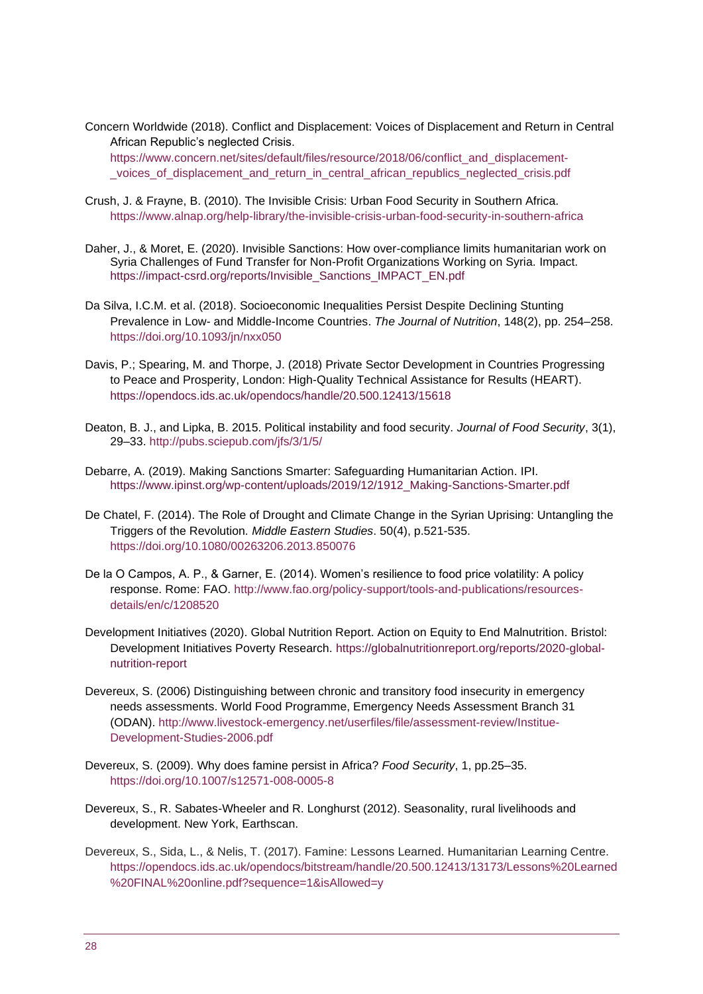Concern Worldwide (2018). Conflict and Displacement: Voices of Displacement and Return in Central African Republic's neglected Crisis. [https://www.concern.net/sites/default/files/resource/2018/06/conflict\\_and\\_displacement-](https://www.concern.net/sites/default/files/resource/2018/06/conflict_and_displacement-%20_voices_of_displacement_and_return_in_central_african_republics_neglected_crisis.pdf) [\\_voices\\_of\\_displacement\\_and\\_return\\_in\\_central\\_african\\_republics\\_neglected\\_crisis.pdf](https://www.concern.net/sites/default/files/resource/2018/06/conflict_and_displacement-%20_voices_of_displacement_and_return_in_central_african_republics_neglected_crisis.pdf)

- Crush, J. & Frayne, B. (2010). The Invisible Crisis: Urban Food Security in Southern Africa. <https://www.alnap.org/help-library/the-invisible-crisis-urban-food-security-in-southern-africa>
- Daher, J., & Moret, E. (2020). Invisible Sanctions: How over-compliance limits humanitarian work on Syria Challenges of Fund Transfer for Non-Profit Organizations Working on Syria. Impact. https://impact-csrd.org/reports/Invisible\_Sanctions\_IMPACT\_EN.pdf
- Da Silva, I.C.M. et al. (2018). Socioeconomic Inequalities Persist Despite Declining Stunting Prevalence in Low- and Middle-Income Countries. *The Journal of Nutrition*, 148(2), pp. 254–258. <https://doi.org/10.1093/jn/nxx050>
- Davis, P.; Spearing, M. and Thorpe, J. (2018) Private Sector Development in Countries Progressing to Peace and Prosperity, London: High-Quality Technical Assistance for Results (HEART). <https://opendocs.ids.ac.uk/opendocs/handle/20.500.12413/15618>
- Deaton, B. J., and Lipka, B. 2015. Political instability and food security. *Journal of Food Security*, 3(1), 29–33.<http://pubs.sciepub.com/jfs/3/1/5/>
- Debarre, A. (2019). Making Sanctions Smarter: Safeguarding Humanitarian Action. IPI. https://www.ipinst.org/wp-content/uploads/2019/12/1912\_Making-Sanctions-Smarter.pdf
- De Chatel, F. (2014). The Role of Drought and Climate Change in the Syrian Uprising: Untangling the Triggers of the Revolution. *Middle Eastern Studies*. 50(4), p.521-535. <https://doi.org/10.1080/00263206.2013.850076>
- De la O Campos, A. P., & Garner, E. (2014). Women's resilience to food price volatility: A policy response. Rome: FAO. [http://www.fao.org/policy-support/tools-and-publications/resources](http://www.fao.org/policy-support/tools-and-publications/resources-details/en/c/1208520)[details/en/c/1208520](http://www.fao.org/policy-support/tools-and-publications/resources-details/en/c/1208520)
- Development Initiatives (2020). Global Nutrition Report. Action on Equity to End Malnutrition. Bristol: Development Initiatives Poverty Research. [https://globalnutritionreport.org/reports/2020-global](https://globalnutritionreport.org/reports/2020-global-nutrition-report)[nutrition-report](https://globalnutritionreport.org/reports/2020-global-nutrition-report)
- Devereux, S. (2006) Distinguishing between chronic and transitory food insecurity in emergency needs assessments. World Food Programme, Emergency Needs Assessment Branch 31 (ODAN). [http://www.livestock-emergency.net/userfiles/file/assessment-review/Institue-](http://www.livestock-emergency.net/userfiles/file/assessment-review/Institue-Development-Studies-2006.pdf)[Development-Studies-2006.pdf](http://www.livestock-emergency.net/userfiles/file/assessment-review/Institue-Development-Studies-2006.pdf)
- Devereux, S. (2009). Why does famine persist in Africa? *Food Security*, 1, pp.25–35. <https://doi.org/10.1007/s12571-008-0005-8>
- Devereux, S., R. Sabates-Wheeler and R. Longhurst (2012). Seasonality, rural livelihoods and development. New York, Earthscan.
- Devereux, S., Sida, L., & Nelis, T. (2017). Famine: Lessons Learned. Humanitarian Learning Centre. [https://opendocs.ids.ac.uk/opendocs/bitstream/handle/20.500.12413/13173/Lessons%20Learned](https://opendocs.ids.ac.uk/opendocs/bitstream/handle/20.500.12413/13173/Lessons%20Learned%20FINAL%20online.pdf?sequence=1&isAllowed=y) [%20FINAL%20online.pdf?sequence=1&isAllowed=y](https://opendocs.ids.ac.uk/opendocs/bitstream/handle/20.500.12413/13173/Lessons%20Learned%20FINAL%20online.pdf?sequence=1&isAllowed=y)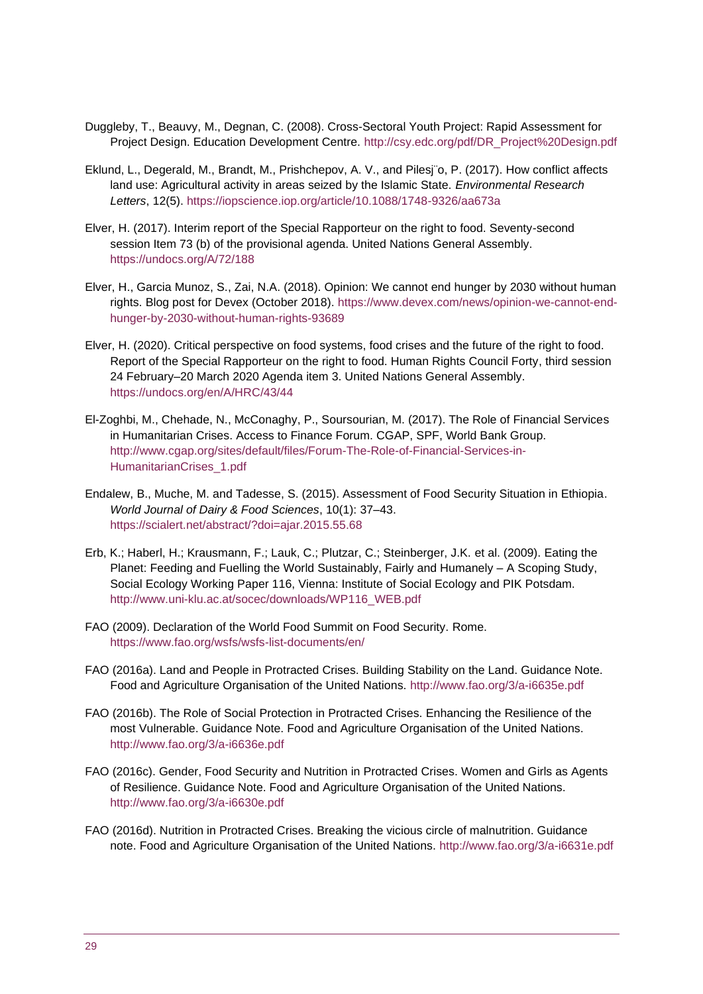- Duggleby, T., Beauvy, M., Degnan, C. (2008). Cross-Sectoral Youth Project: Rapid Assessment for Project Design. Education Development Centre. [http://csy.edc.org/pdf/DR\\_Project%20Design.pdf](http://csy.edc.org/pdf/DR_Project%20Design.pdf)
- Eklund, L., Degerald, M., Brandt, M., Prishchepov, A. V., and Pilesj¨o, P. (2017). How conflict affects land use: Agricultural activity in areas seized by the Islamic State. *Environmental Research Letters*, 12(5). <https://iopscience.iop.org/article/10.1088/1748-9326/aa673a>
- Elver, H. (2017). Interim report of the Special Rapporteur on the right to food. Seventy-second session Item 73 (b) of the provisional agenda. United Nations General Assembly. <https://undocs.org/A/72/188>
- Elver, H., Garcia Munoz, S., Zai, N.A. (2018). Opinion: We cannot end hunger by 2030 without human rights. Blog post for Devex (October 2018). [https://www.devex.com/news/opinion-we-cannot-end](https://www.devex.com/news/opinion-we-cannot-end-hunger-by-2030-without-human-rights-93689)[hunger-by-2030-without-human-rights-93689](https://www.devex.com/news/opinion-we-cannot-end-hunger-by-2030-without-human-rights-93689)
- Elver, H. (2020). Critical perspective on food systems, food crises and the future of the right to food. Report of the Special Rapporteur on the right to food. Human Rights Council Forty, third session 24 February–20 March 2020 Agenda item 3. United Nations General Assembly. <https://undocs.org/en/A/HRC/43/44>
- El-Zoghbi, M., Chehade, N., McConaghy, P., Soursourian, M. (2017). The Role of Financial Services in Humanitarian Crises. Access to Finance Forum. CGAP, SPF, World Bank Group. [http://www.cgap.org/sites/default/files/Forum-The-Role-of-Financial-Services-in-](http://www.cgap.org/sites/default/files/Forum-The-Role-of-Financial-Services-in-HumanitarianCrises_1.pdf)[HumanitarianCrises\\_1.pdf](http://www.cgap.org/sites/default/files/Forum-The-Role-of-Financial-Services-in-HumanitarianCrises_1.pdf)
- Endalew, B., Muche, M. and Tadesse, S. (2015). Assessment of Food Security Situation in Ethiopia. *World Journal of Dairy & Food Sciences*, 10(1): 37–43. <https://scialert.net/abstract/?doi=ajar.2015.55.68>
- Erb, K.; Haberl, H.; Krausmann, F.; Lauk, C.; Plutzar, C.; Steinberger, J.K. et al. (2009). Eating the Planet: Feeding and Fuelling the World Sustainably, Fairly and Humanely – A Scoping Study, Social Ecology Working Paper 116, Vienna: Institute of Social Ecology and PIK Potsdam. [http://www.uni-klu.ac.at/socec/downloads/WP116\\_WEB.pdf](http://www.uni-klu.ac.at/socec/downloads/WP116_WEB.pdf)
- FAO (2009). Declaration of the World Food Summit on Food Security. Rome. <https://www.fao.org/wsfs/wsfs-list-documents/en/>
- FAO (2016a). Land and People in Protracted Crises. Building Stability on the Land. Guidance Note. Food and Agriculture Organisation of the United Nations.<http://www.fao.org/3/a-i6635e.pdf>
- FAO (2016b). The Role of Social Protection in Protracted Crises. Enhancing the Resilience of the most Vulnerable. Guidance Note. Food and Agriculture Organisation of the United Nations. <http://www.fao.org/3/a-i6636e.pdf>
- FAO (2016c). Gender, Food Security and Nutrition in Protracted Crises. Women and Girls as Agents of Resilience. Guidance Note. Food and Agriculture Organisation of the United Nations. <http://www.fao.org/3/a-i6630e.pdf>
- FAO (2016d). Nutrition in Protracted Crises. Breaking the vicious circle of malnutrition. Guidance note. Food and Agriculture Organisation of the United Nations.<http://www.fao.org/3/a-i6631e.pdf>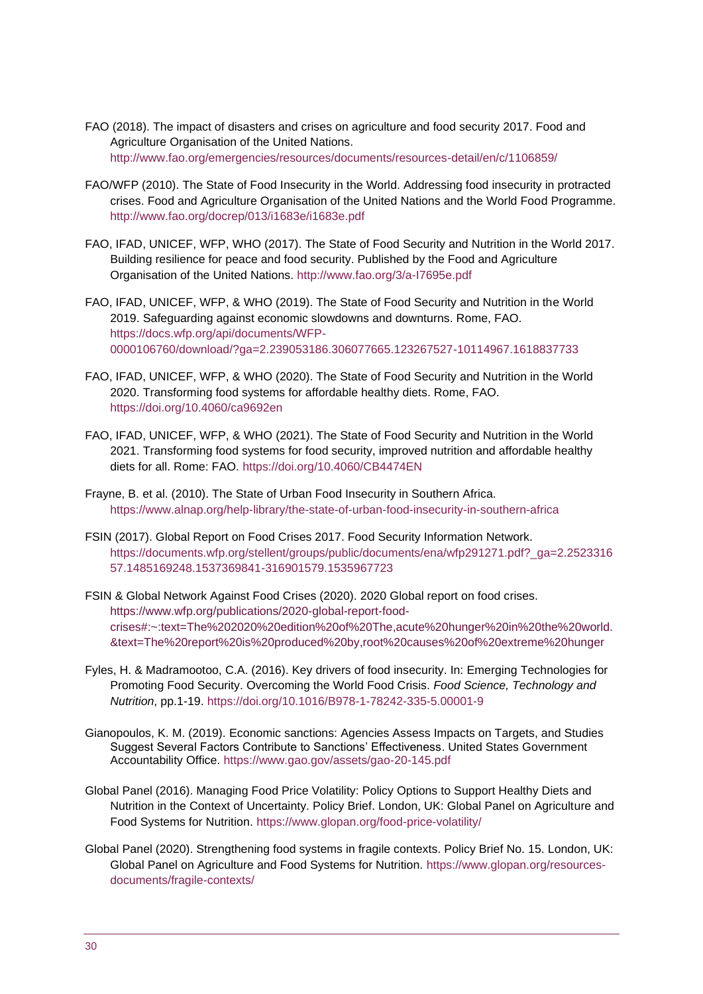- FAO (2018). The impact of disasters and crises on agriculture and food security 2017. Food and Agriculture Organisation of the United Nations. <http://www.fao.org/emergencies/resources/documents/resources-detail/en/c/1106859/>
- FAO/WFP (2010). The State of Food Insecurity in the World. Addressing food insecurity in protracted crises. Food and Agriculture Organisation of the United Nations and the World Food Programme. <http://www.fao.org/docrep/013/i1683e/i1683e.pdf>
- FAO, IFAD, UNICEF, WFP, WHO (2017). The State of Food Security and Nutrition in the World 2017. Building resilience for peace and food security. Published by the Food and Agriculture Organisation of the United Nations.<http://www.fao.org/3/a-I7695e.pdf>
- FAO, IFAD, UNICEF, WFP, & WHO (2019). The State of Food Security and Nutrition in the World 2019. Safeguarding against economic slowdowns and downturns. Rome, FAO. [https://docs.wfp.org/api/documents/WFP-](https://docs.wfp.org/api/documents/WFP-0000106760/download/?ga=2.239053186.306077665.123267527-10114967.1618837733)[0000106760/download/?ga=2.239053186.306077665.123267527-10114967.1618837733](https://docs.wfp.org/api/documents/WFP-0000106760/download/?ga=2.239053186.306077665.123267527-10114967.1618837733)
- FAO, IFAD, UNICEF, WFP, & WHO (2020). The State of Food Security and Nutrition in the World 2020. Transforming food systems for affordable healthy diets. Rome, FAO. <https://doi.org/10.4060/ca9692en>
- FAO, IFAD, UNICEF, WFP, & WHO (2021). The State of Food Security and Nutrition in the World 2021. Transforming food systems for food security, improved nutrition and affordable healthy diets for all. Rome: FAO.<https://doi.org/10.4060/CB4474EN>
- Frayne, B. et al. (2010). The State of Urban Food Insecurity in Southern Africa. <https://www.alnap.org/help-library/the-state-of-urban-food-insecurity-in-southern-africa>
- FSIN (2017). Global Report on Food Crises 2017. Food Security Information Network. [https://documents.wfp.org/stellent/groups/public/documents/ena/wfp291271.pdf?\\_ga=2.2523316](https://documents.wfp.org/stellent/groups/public/documents/ena/wfp291271.pdf?_ga=2.252331657.1485169248.1537369841-316901579.1535967723) [57.1485169248.1537369841-316901579.1535967723](https://documents.wfp.org/stellent/groups/public/documents/ena/wfp291271.pdf?_ga=2.252331657.1485169248.1537369841-316901579.1535967723)
- FSIN & Global Network Against Food Crises (2020). 2020 Global report on food crises. [https://www.wfp.org/publications/2020-global-report-food](https://www.wfp.org/publications/2020-global-report-food-crises#:~:text=The%202020%20edition%20of%20The,acute%20hunger%20in%20the%20world.&text=The%20report%20is%20produced%20by,root%20causes%20of%20extreme%20hunger)[crises#:~:text=The%202020%20edition%20of%20The,acute%20hunger%20in%20the%20world.](https://www.wfp.org/publications/2020-global-report-food-crises#:~:text=The%202020%20edition%20of%20The,acute%20hunger%20in%20the%20world.&text=The%20report%20is%20produced%20by,root%20causes%20of%20extreme%20hunger) [&text=The%20report%20is%20produced%20by,root%20causes%20of%20extreme%20hunger](https://www.wfp.org/publications/2020-global-report-food-crises#:~:text=The%202020%20edition%20of%20The,acute%20hunger%20in%20the%20world.&text=The%20report%20is%20produced%20by,root%20causes%20of%20extreme%20hunger)
- Fyles, H. & Madramootoo, C.A. (2016). Key drivers of food insecurity. In: Emerging Technologies for Promoting Food Security. Overcoming the World Food Crisis. *Food Science, Technology and Nutrition*, pp.1-19.<https://doi.org/10.1016/B978-1-78242-335-5.00001-9>
- Gianopoulos, K. M. (2019). Economic sanctions: Agencies Assess Impacts on Targets, and Studies Suggest Several Factors Contribute to Sanctions' Effectiveness. United States Government Accountability Office. https://www.gao.gov/assets/gao-20-145.pdf
- Global Panel (2016). Managing Food Price Volatility: Policy Options to Support Healthy Diets and Nutrition in the Context of Uncertainty. Policy Brief. London, UK: Global Panel on Agriculture and Food Systems for Nutrition.<https://www.glopan.org/food-price-volatility/>
- Global Panel (2020). Strengthening food systems in fragile contexts. Policy Brief No. 15. London, UK: Global Panel on Agriculture and Food Systems for Nutrition. [https://www.glopan.org/resources](https://www.glopan.org/resources-documents/fragile-contexts/)[documents/fragile-contexts/](https://www.glopan.org/resources-documents/fragile-contexts/)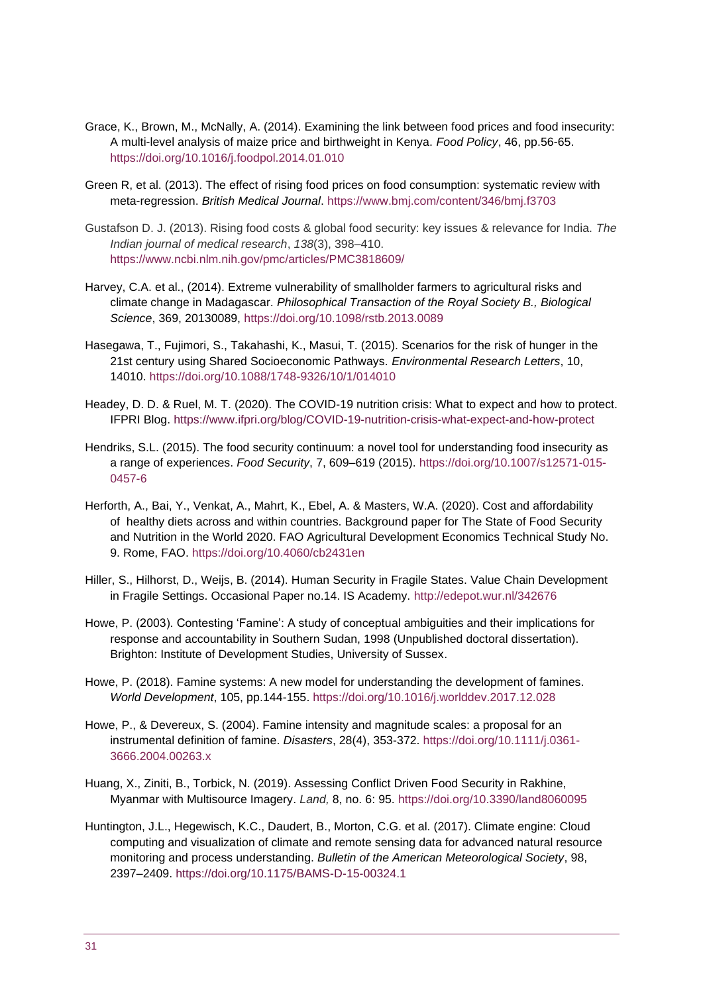- Grace, K., Brown, M., McNally, A. (2014). Examining the link between food prices and food insecurity: A multi-level analysis of maize price and birthweight in Kenya. *Food Policy*, 46, pp.56-65. <https://doi.org/10.1016/j.foodpol.2014.01.010>
- Green R, et al. (2013). The effect of rising food prices on food consumption: systematic review with meta-regression. *British Medical Journal*.<https://www.bmj.com/content/346/bmj.f3703>
- Gustafson D. J. (2013). Rising food costs & global food security: key issues & relevance for India. *The Indian journal of medical research*, *138*(3), 398–410. <https://www.ncbi.nlm.nih.gov/pmc/articles/PMC3818609/>
- Harvey, C.A. et al., (2014). Extreme vulnerability of smallholder farmers to agricultural risks and climate change in Madagascar. *Philosophical Transaction of the Royal Society B., Biological Science*, 369, 20130089,<https://doi.org/10.1098/rstb.2013.0089>
- Hasegawa, T., Fujimori, S., Takahashi, K., Masui, T. (2015). Scenarios for the risk of hunger in the 21st century using Shared Socioeconomic Pathways. *Environmental Research Letters*, 10, 14010. <https://doi.org/10.1088/1748-9326/10/1/014010>
- Headey, D. D. & Ruel, M. T. (2020). The COVID-19 nutrition crisis: What to expect and how to protect. IFPRI Blog. [https://www.ifpri.org/blog/COVID-19-nutrition-crisis-what-expect-and-how-protect](https://www.ifpri.org/blog/covid-19-nutrition-crisis-what-expect-and-how-protect)
- Hendriks, S.L. (2015). The food security continuum: a novel tool for understanding food insecurity as a range of experiences. *Food Security*, 7, 609–619 (2015). [https://doi.org/10.1007/s12571-015-](https://doi.org/10.1007/s12571-015-0457-6) [0457-6](https://doi.org/10.1007/s12571-015-0457-6)
- Herforth, A., Bai, Y., Venkat, A., Mahrt, K., Ebel, A. & Masters, W.A. (2020). Cost and affordability of healthy diets across and within countries. Background paper for The State of Food Security and Nutrition in the World 2020. FAO Agricultural Development Economics Technical Study No. 9. Rome, FAO. <https://doi.org/10.4060/cb2431en>
- Hiller, S., Hilhorst, D., Weijs, B. (2014). Human Security in Fragile States. Value Chain Development in Fragile Settings. Occasional Paper no.14. IS Academy.<http://edepot.wur.nl/342676>
- Howe, P. (2003). Contesting 'Famine': A study of conceptual ambiguities and their implications for response and accountability in Southern Sudan, 1998 (Unpublished doctoral dissertation). Brighton: Institute of Development Studies, University of Sussex.
- Howe, P. (2018). Famine systems: A new model for understanding the development of famines. *World Development*, 105, pp.144-155.<https://doi.org/10.1016/j.worlddev.2017.12.028>
- Howe, P., & Devereux, S. (2004). Famine intensity and magnitude scales: a proposal for an instrumental definition of famine. *Disasters*, 28(4), 353-372. [https://doi.org/10.1111/j.0361-](https://doi.org/10.1111/j.0361-%203666.2004.00263.x) [3666.2004.00263.x](https://doi.org/10.1111/j.0361-%203666.2004.00263.x)
- Huang, X., Ziniti, B., Torbick, N. (2019). Assessing Conflict Driven Food Security in Rakhine, Myanmar with Multisource Imagery. *Land,* 8, no. 6: 95.<https://doi.org/10.3390/land8060095>
- Huntington, J.L., Hegewisch, K.C., Daudert, B., Morton, C.G. et al. (2017). Climate engine: Cloud computing and visualization of climate and remote sensing data for advanced natural resource monitoring and process understanding. *Bulletin of the American Meteorological Society*, 98, 2397–2409.<https://doi.org/10.1175/BAMS-D-15-00324.1>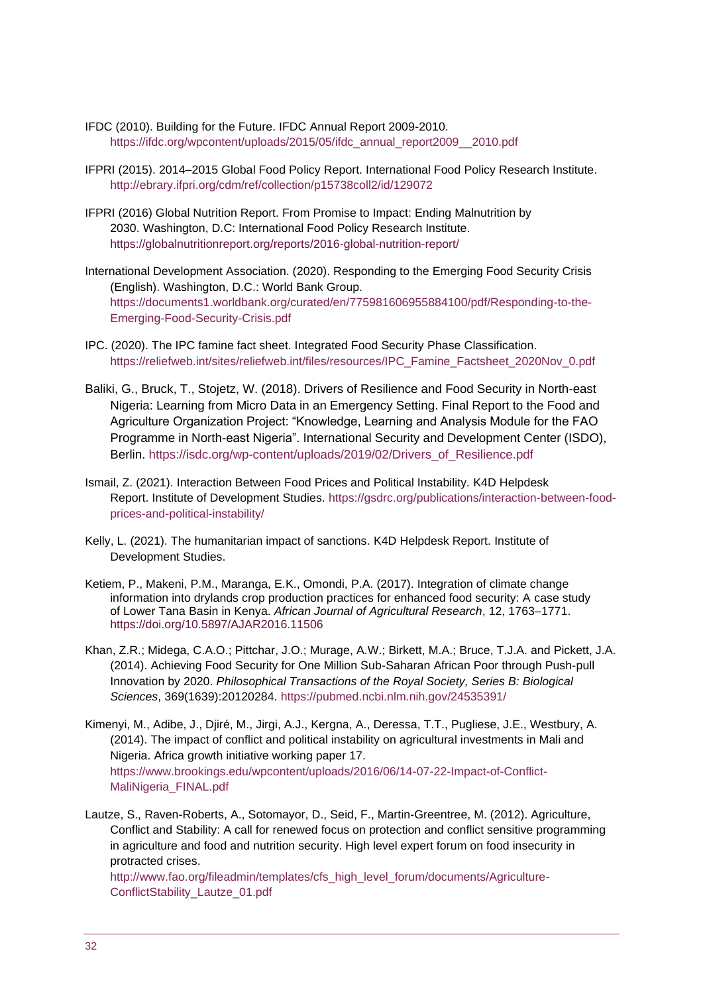- IFDC (2010). Building for the Future. IFDC Annual Report 2009-2010. [https://ifdc.org/wpcontent/uploads/2015/05/ifdc\\_annual\\_report2009\\_\\_2010.pdf](https://ifdc.org/wpcontent/uploads/2015/05/ifdc_annual_report2009__2010.pdf)
- IFPRI (2015). 2014–2015 Global Food Policy Report. International Food Policy Research Institute. <http://ebrary.ifpri.org/cdm/ref/collection/p15738coll2/id/129072>
- IFPRI (2016) Global Nutrition Report. From Promise to Impact: Ending Malnutrition by 2030. Washington, D.C: International Food Policy Research Institute. <https://globalnutritionreport.org/reports/2016-global-nutrition-report/>
- International Development Association. (2020). Responding to the Emerging Food Security Crisis (English). Washington, D.C.: World Bank Group. [https://documents1.worldbank.org/curated/en/775981606955884100/pdf/Responding-to-the-](https://documents1.worldbank.org/curated/en/775981606955884100/pdf/Responding-to-the-Emerging-Food-Security-Crisis.pdf)[Emerging-Food-Security-Crisis.pdf](https://documents1.worldbank.org/curated/en/775981606955884100/pdf/Responding-to-the-Emerging-Food-Security-Crisis.pdf)
- IPC. (2020). The IPC famine fact sheet. Integrated Food Security Phase Classification. [https://reliefweb.int/sites/reliefweb.int/files/resources/IPC\\_Famine\\_Factsheet\\_2020Nov\\_0.pdf](https://reliefweb.int/sites/reliefweb.int/files/resources/IPC_Famine_Factsheet_2020Nov_0.pdf)
- Baliki, G., Bruck, T., Stojetz, W. (2018). Drivers of Resilience and Food Security in North-east Nigeria: Learning from Micro Data in an Emergency Setting. Final Report to the Food and Agriculture Organization Project: "Knowledge, Learning and Analysis Module for the FAO Programme in North-east Nigeria". International Security and Development Center (ISDO), Berlin. [https://isdc.org/wp-content/uploads/2019/02/Drivers\\_of\\_Resilience.pdf](https://isdc.org/wp-content/uploads/2019/02/Drivers_of_Resilience.pdf)
- Ismail, Z. (2021). Interaction Between Food Prices and Political Instability*.* K4D Helpdesk Report. Institute of Development Studies. [https://gsdrc.org/publications/interaction-between-food](https://gsdrc.org/publications/interaction-between-food-prices-and-political-instability/)[prices-and-political-instability/](https://gsdrc.org/publications/interaction-between-food-prices-and-political-instability/)
- Kelly, L. (2021). The humanitarian impact of sanctions*.* K4D Helpdesk Report. Institute of Development Studies.
- Ketiem, P., Makeni, P.M., Maranga, E.K., Omondi, P.A. (2017). Integration of climate change information into drylands crop production practices for enhanced food security: A case study of Lower Tana Basin in Kenya. *African Journal of Agricultural Research*, 12, 1763–1771. <https://doi.org/10.5897/AJAR2016.11506>
- Khan, Z.R.; Midega, C.A.O.; Pittchar, J.O.; Murage, A.W.; Birkett, M.A.; Bruce, T.J.A. and Pickett, J.A. (2014). Achieving Food Security for One Million Sub-Saharan African Poor through Push-pull Innovation by 2020. *Philosophical Transactions of the Royal Society, Series B: Biological Sciences*, 369(1639):20120284.<https://pubmed.ncbi.nlm.nih.gov/24535391/>
- Kimenyi, M., Adibe, J., Djiré, M., Jirgi, A.J., Kergna, A., Deressa, T.T., Pugliese, J.E., Westbury, A. (2014). The impact of conflict and political instability on agricultural investments in Mali and Nigeria. Africa growth initiative working paper 17. [https://www.brookings.edu/wpcontent/uploads/2016/06/14-07-22-Impact-of-Conflict-](https://www.brookings.edu/wpcontent/uploads/2016/06/14-07-22-Impact-of-Conflict-MaliNigeria_FINAL.pdf)[MaliNigeria\\_FINAL.pdf](https://www.brookings.edu/wpcontent/uploads/2016/06/14-07-22-Impact-of-Conflict-MaliNigeria_FINAL.pdf)
- Lautze, S., Raven-Roberts, A., Sotomayor, D., Seid, F., Martin-Greentree, M. (2012). Agriculture, Conflict and Stability: A call for renewed focus on protection and conflict sensitive programming in agriculture and food and nutrition security. High level expert forum on food insecurity in protracted crises.

[http://www.fao.org/fileadmin/templates/cfs\\_high\\_level\\_forum/documents/Agriculture-](http://www.fao.org/fileadmin/templates/cfs_high_level_forum/documents/Agriculture-ConflictStability_Lautze_01.pdf)[ConflictStability\\_Lautze\\_01.pdf](http://www.fao.org/fileadmin/templates/cfs_high_level_forum/documents/Agriculture-ConflictStability_Lautze_01.pdf)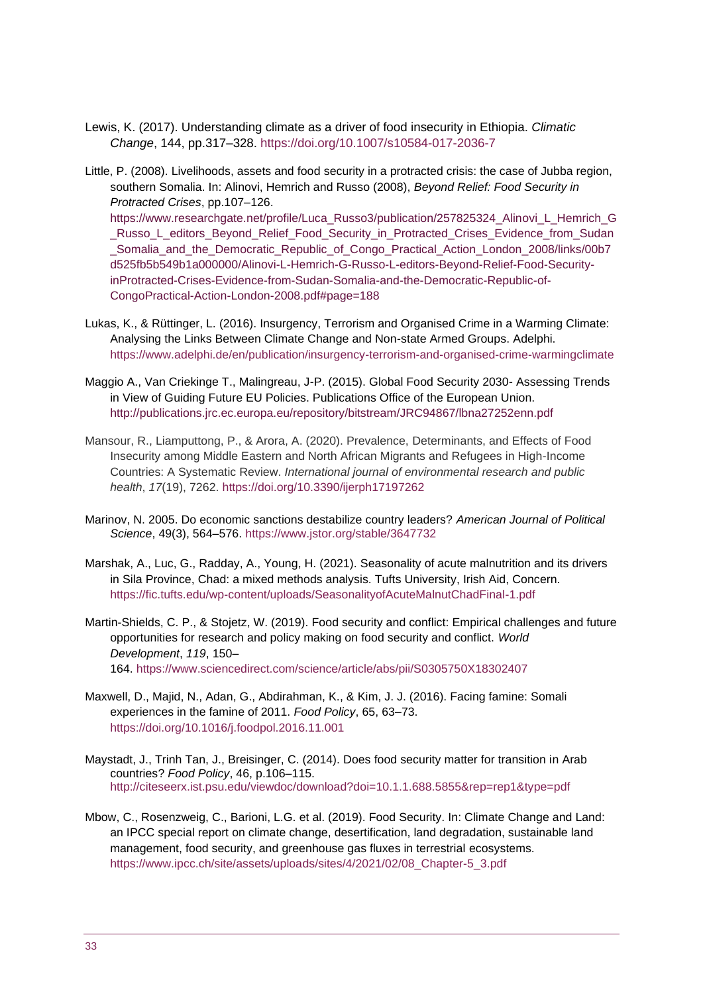- Lewis, K. (2017). Understanding climate as a driver of food insecurity in Ethiopia. *Climatic Change*, 144, pp.317–328.<https://doi.org/10.1007/s10584-017-2036-7>
- Little, P. (2008). Livelihoods, assets and food security in a protracted crisis: the case of Jubba region, southern Somalia. In: Alinovi, Hemrich and Russo (2008), *Beyond Relief: Food Security in Protracted Crises*, pp.107–126. https://www.researchgate.net/profile/Luca\_Russo3/publication/257825324\_Alinovi\_L\_Hemrich\_G \_Russo\_L\_editors\_Beyond\_Relief\_Food\_Security\_in\_Protracted\_Crises\_Evidence\_from\_Sudan \_Somalia\_and\_the\_Democratic\_Republic\_of\_Congo\_Practical\_Action\_London\_2008/links/00b7 d525fb5b549b1a000000/Alinovi-L-Hemrich-G-Russo-L-editors-Beyond-Relief-Food-SecurityinProtracted-Crises-Evidence-from-Sudan-Somalia-and-the-Democratic-Republic-of-CongoPractical-Action-London-2008.pdf#page=188
- Lukas, K., & Rüttinger, L. (2016). Insurgency, Terrorism and Organised Crime in a Warming Climate: Analysing the Links Between Climate Change and Non-state Armed Groups. Adelphi. <https://www.adelphi.de/en/publication/insurgency-terrorism-and-organised-crime-warmingclimate>
- Maggio A., Van Criekinge T., Malingreau, J-P. (2015). Global Food Security 2030- Assessing Trends in View of Guiding Future EU Policies. Publications Office of the European Union. <http://publications.jrc.ec.europa.eu/repository/bitstream/JRC94867/lbna27252enn.pdf>
- Mansour, R., Liamputtong, P., & Arora, A. (2020). Prevalence, Determinants, and Effects of Food Insecurity among Middle Eastern and North African Migrants and Refugees in High-Income Countries: A Systematic Review. *International journal of environmental research and public health*, *17*(19), 7262.<https://doi.org/10.3390/ijerph17197262>
- Marinov, N. 2005. Do economic sanctions destabilize country leaders? *American Journal of Political Science*, 49(3), 564–576.<https://www.jstor.org/stable/3647732>
- Marshak, A., Luc, G., Radday, A., Young, H. (2021). Seasonality of acute malnutrition and its drivers in Sila Province, Chad: a mixed methods analysis. Tufts University, Irish Aid, Concern. <https://fic.tufts.edu/wp-content/uploads/SeasonalityofAcuteMalnutChadFinal-1.pdf>
- Martin-Shields, C. P., & Stojetz, W. (2019). Food security and conflict: Empirical challenges and future opportunities for research and policy making on food security and conflict. *World Development*, *119*, 150– 164. <https://www.sciencedirect.com/science/article/abs/pii/S0305750X18302407>
- Maxwell, D., Majid, N., Adan, G., Abdirahman, K., & Kim, J. J. (2016). Facing famine: Somali experiences in the famine of 2011. *Food Policy*, 65, 63–73. <https://doi.org/10.1016/j.foodpol.2016.11.001>
- Maystadt, J., Trinh Tan, J., Breisinger, C. (2014). Does food security matter for transition in Arab countries? *Food Policy*, 46, p.106–115. <http://citeseerx.ist.psu.edu/viewdoc/download?doi=10.1.1.688.5855&rep=rep1&type=pdf>
- Mbow, C., Rosenzweig, C., Barioni, L.G. et al. (2019). Food Security. In: Climate Change and Land: an IPCC special report on climate change, desertification, land degradation, sustainable land management, food security, and greenhouse gas fluxes in terrestrial ecosystems. [https://www.ipcc.ch/site/assets/uploads/sites/4/2021/02/08\\_Chapter-5\\_3.pdf](https://eur02.safelinks.protection.outlook.com/?url=https%3A%2F%2Fwww.ipcc.ch%2Fsite%2Fassets%2Fuploads%2Fsites%2F4%2F2021%2F02%2F08_Chapter-5_3.pdf&data=04%7C01%7CE-J.Quak%40ids.ac.uk%7C4431b52130114b7a8b4a08d99eeb1611%7Ce78be64af7754a2e9ec85e66e224b88f%7C0%7C0%7C637715554789067050%7CUnknown%7CTWFpbGZsb3d8eyJWIjoiMC4wLjAwMDAiLCJQIjoiV2luMzIiLCJBTiI6Ik1haWwiLCJXVCI6Mn0%3D%7C1000&sdata=rEOeJgwn4008Yz1FnsWhybqlMFiYwZJMVc3WmnWE7k0%3D&reserved=0)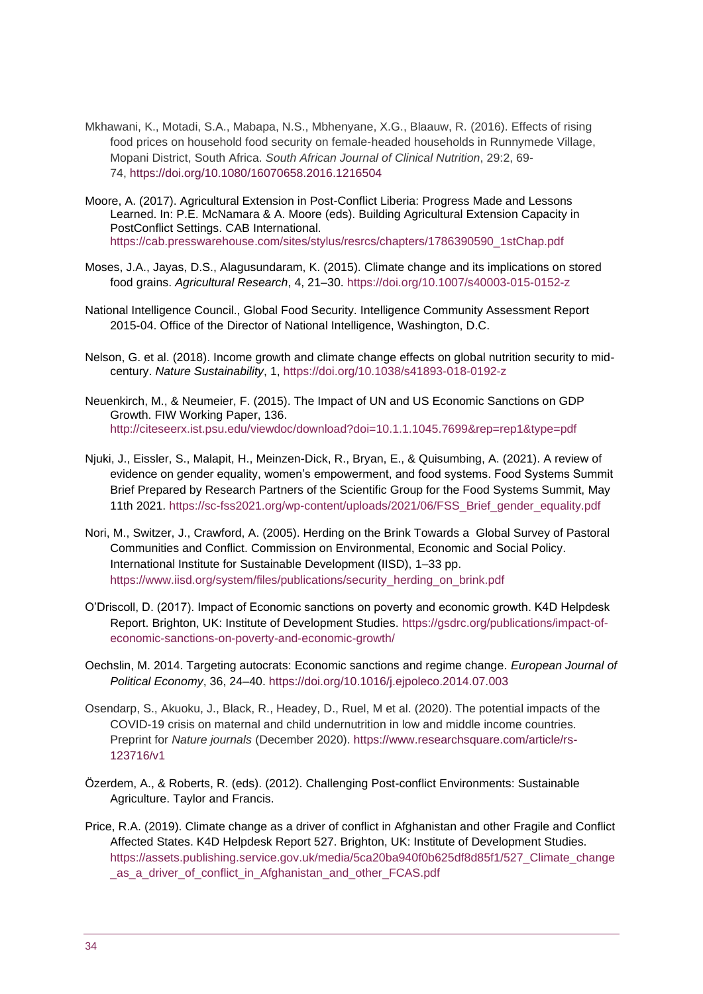- Mkhawani, K., Motadi, S.A., Mabapa, N.S., Mbhenyane, X.G., Blaauw, R. (2016). Effects of rising food prices on household food security on female-headed households in Runnymede Village, Mopani District, South Africa. *South African Journal of Clinical Nutrition*, 29:2, 69- 74, https://doi.org[/10.1080/16070658.2016.1216504](https://doi.org/10.1080/16070658.2016.1216504)
- Moore, A. (2017). Agricultural Extension in Post-Conflict Liberia: Progress Made and Lessons Learned. In: P.E. McNamara & A. Moore (eds). Building Agricultural Extension Capacity in PostConflict Settings. CAB International. [https://cab.presswarehouse.com/sites/stylus/resrcs/chapters/1786390590\\_1stChap.pdf](https://cab.presswarehouse.com/sites/stylus/resrcs/chapters/1786390590_1stChap.pdf)
- Moses, J.A., Jayas, D.S., Alagusundaram, K. (2015). Climate change and its implications on stored food grains. *Agricultural Research*, 4, 21–30.<https://doi.org/10.1007/s40003-015-0152-z>
- National Intelligence Council., Global Food Security. Intelligence Community Assessment Report 2015-04. Office of the Director of National Intelligence, Washington, D.C.
- Nelson, G. et al. (2018). Income growth and climate change effects on global nutrition security to midcentury. *Nature Sustainability*, 1,<https://doi.org/10.1038/s41893-018-0192-z>
- Neuenkirch, M., & Neumeier, F. (2015). The Impact of UN and US Economic Sanctions on GDP Growth. FIW Working Paper, 136. <http://citeseerx.ist.psu.edu/viewdoc/download?doi=10.1.1.1045.7699&rep=rep1&type=pdf>
- Njuki, J., Eissler, S., Malapit, H., Meinzen-Dick, R., Bryan, E., & Quisumbing, A. (2021). A review of evidence on gender equality, women's empowerment, and food systems. Food Systems Summit Brief Prepared by Research Partners of the Scientific Group for the Food Systems Summit, May 11th 2021. [https://sc-fss2021.org/wp-content/uploads/2021/06/FSS\\_Brief\\_gender\\_equality.pdf](https://sc-fss2021.org/wp-content/uploads/2021/06/FSS_Brief_gender_equality.pdf)
- Nori, M., Switzer, J., Crawford, A. (2005). Herding on the Brink Towards a Global Survey of Pastoral Communities and Conflict. Commission on Environmental, Economic and Social Policy. International Institute for Sustainable Development (IISD), 1–33 pp. [https://www.iisd.org/system/files/publications/security\\_herding\\_on\\_brink.pdf](https://www.iisd.org/system/files/publications/security_herding_on_brink.pdf)
- O'Driscoll, D. (2017). Impact of Economic sanctions on poverty and economic growth. K4D Helpdesk Report. Brighton, UK: Institute of Development Studies. [https://gsdrc.org/publications/impact-of](https://gsdrc.org/publications/impact-of-economic-sanctions-on-poverty-and-economic-growth/)[economic-sanctions-on-poverty-and-economic-growth/](https://gsdrc.org/publications/impact-of-economic-sanctions-on-poverty-and-economic-growth/)
- Oechslin, M. 2014. Targeting autocrats: Economic sanctions and regime change. *European Journal of Political Economy*, 36, 24–40.<https://doi.org/10.1016/j.ejpoleco.2014.07.003>
- Osendarp, S., Akuoku, J., Black, R., Headey, D., Ruel, M et al. (2020). The potential impacts of the COVID-19 crisis on maternal and child undernutrition in low and middle income countries. Preprint for *Nature journals* (December 2020). [https://www.researchsquare.com/article/rs-](https://www.researchsquare.com/article/rs-123716/v1)[123716/v1](https://www.researchsquare.com/article/rs-123716/v1)
- Özerdem, A., & Roberts, R. (eds). (2012). Challenging Post-conflict Environments: Sustainable Agriculture. Taylor and Francis.
- Price, R.A. (2019). Climate change as a driver of conflict in Afghanistan and other Fragile and Conflict Affected States. K4D Helpdesk Report 527. Brighton, UK: Institute of Development Studies. [https://assets.publishing.service.gov.uk/media/5ca20ba940f0b625df8d85f1/527\\_Climate\\_change](https://assets.publishing.service.gov.uk/media/5ca20ba940f0b625df8d85f1/527_Climate_change_as_a_driver_of_conflict_in_Afghanistan_and_other_FCAS.pdf) as a driver of conflict in Afghanistan and other FCAS.pdf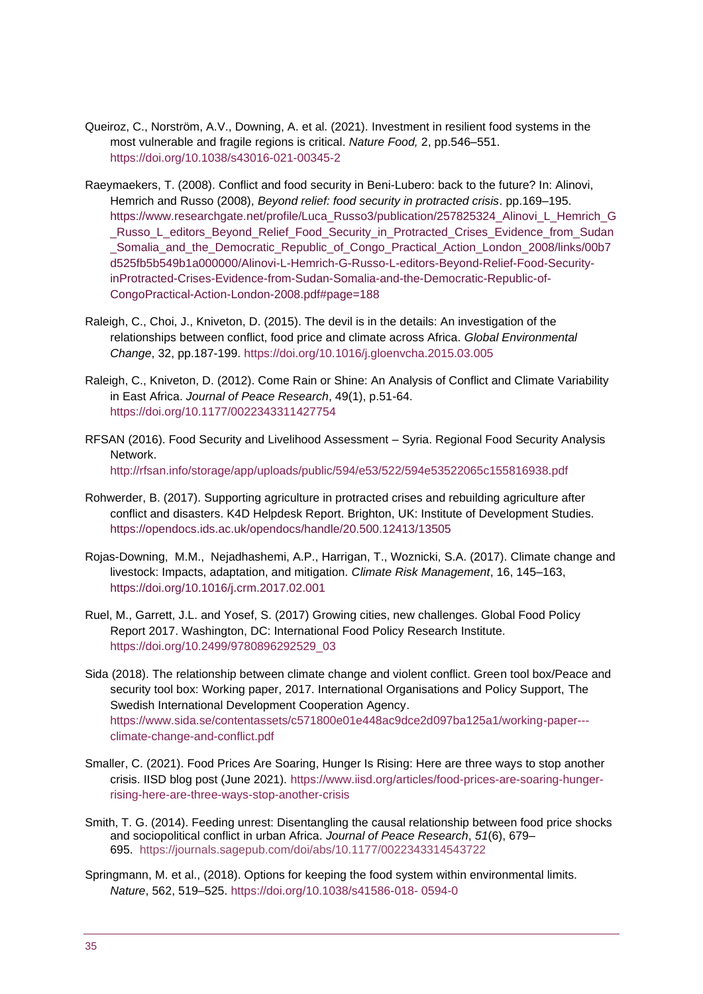- Queiroz, C., Norström, A.V., Downing, A. et al. (2021). Investment in resilient food systems in the most vulnerable and fragile regions is critical. *Nature Food,* 2, pp.546–551. <https://doi.org/10.1038/s43016-021-00345-2>
- Raeymaekers, T. (2008). Conflict and food security in Beni-Lubero: back to the future? In: Alinovi, Hemrich and Russo (2008), *Beyond relief: food security in protracted crisis*. pp.169–195. https://www.researchgate.net/profile/Luca\_Russo3/publication/257825324\_Alinovi\_L\_Hemrich\_G \_Russo\_L\_editors\_Beyond\_Relief\_Food\_Security\_in\_Protracted\_Crises\_Evidence\_from\_Sudan \_Somalia\_and\_the\_Democratic\_Republic\_of\_Congo\_Practical\_Action\_London\_2008/links/00b7 d525fb5b549b1a000000/Alinovi-L-Hemrich-G-Russo-L-editors-Beyond-Relief-Food-SecurityinProtracted-Crises-Evidence-from-Sudan-Somalia-and-the-Democratic-Republic-of-CongoPractical-Action-London-2008.pdf#page=188
- Raleigh, C., Choi, J., Kniveton, D. (2015). The devil is in the details: An investigation of the relationships between conflict, food price and climate across Africa. *Global Environmental Change*, 32, pp.187-199.<https://doi.org/10.1016/j.gloenvcha.2015.03.005>
- Raleigh, C., Kniveton, D. (2012). Come Rain or Shine: An Analysis of Conflict and Climate Variability in East Africa. *Journal of Peace Research*, 49(1), p.51-64. <https://doi.org/10.1177/0022343311427754>
- RFSAN (2016). Food Security and Livelihood Assessment Syria. Regional Food Security Analysis Network. <http://rfsan.info/storage/app/uploads/public/594/e53/522/594e53522065c155816938.pdf>
- Rohwerder, B. (2017). Supporting agriculture in protracted crises and rebuilding agriculture after conflict and disasters. K4D Helpdesk Report. Brighton, UK: Institute of Development Studies. <https://opendocs.ids.ac.uk/opendocs/handle/20.500.12413/13505>
- Rojas-Downing, M.M., Nejadhashemi, A.P., Harrigan, T., Woznicki, S.A. (2017). Climate change and livestock: Impacts, adaptation, and mitigation. *Climate Risk Management*, 16, 145–163, <https://doi.org/10.1016/j.crm.2017.02.001>
- Ruel, M., Garrett, J.L. and Yosef, S. (2017) Growing cities, new challenges. Global Food Policy Report 2017. Washington, DC: International Food Policy Research Institute. [https://doi.org/10.2499/9780896292529\\_03](https://doi.org/10.2499/9780896292529_03)
- Sida (2018). The relationship between climate change and violent conflict. Green tool box/Peace and security tool box: Working paper, 2017. International Organisations and Policy Support, The Swedish International Development Cooperation Agency. [https://www.sida.se/contentassets/c571800e01e448ac9dce2d097ba125a1/working-paper--](https://www.sida.se/contentassets/c571800e01e448ac9dce2d097ba125a1/working-paper---%20climate-change-and-conflict.pdf) [climate-change-and-conflict.pdf](https://www.sida.se/contentassets/c571800e01e448ac9dce2d097ba125a1/working-paper---%20climate-change-and-conflict.pdf)
- Smaller, C. (2021). Food Prices Are Soaring, Hunger Is Rising: Here are three ways to stop another crisis. IISD blog post (June 2021). [https://www.iisd.org/articles/food-prices-are-soaring-hunger](https://www.iisd.org/articles/food-prices-are-soaring-hunger-rising-here-are-three-ways-stop-another-crisis)[rising-here-are-three-ways-stop-another-crisis](https://www.iisd.org/articles/food-prices-are-soaring-hunger-rising-here-are-three-ways-stop-another-crisis)
- Smith, T. G. (2014). Feeding unrest: Disentangling the causal relationship between food price shocks and sociopolitical conflict in urban Africa. *Journal of Peace Research*, *51*(6), 679– 695. https://journals.sagepub.com/doi/abs/10.1177/0022343314543722
- Springmann, M. et al., (2018). Options for keeping the food system within environmental limits. *Nature*, 562, 519–525. [https://doi.org/10.1038/s41586-018-](https://doi.org/10.1038/s41586-018-%200594-0) 0594-0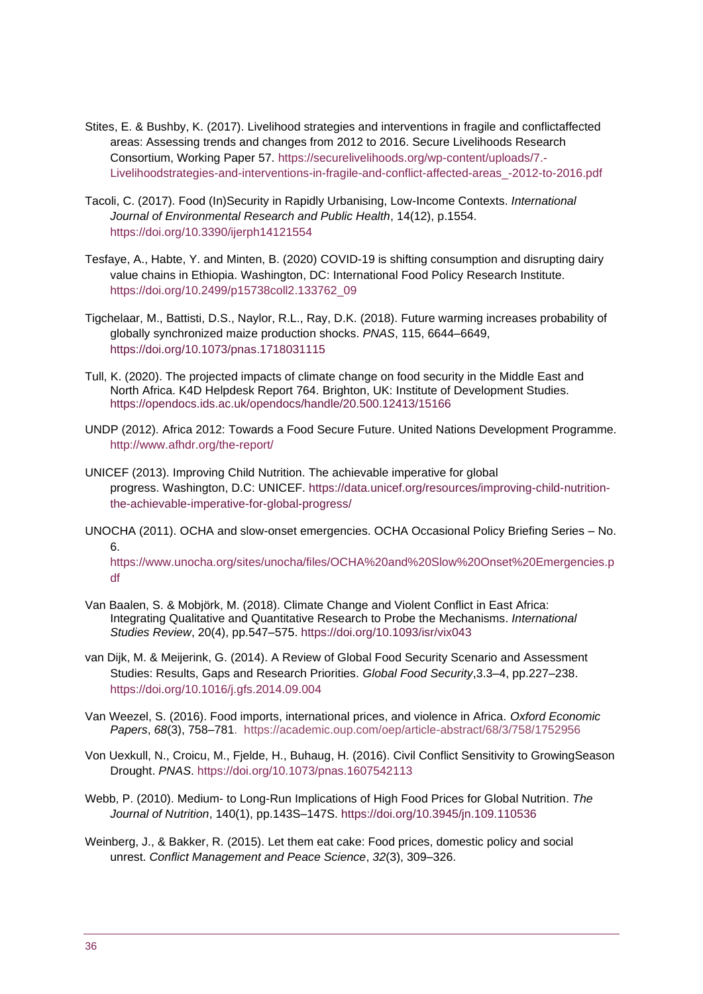- Stites, E. & Bushby, K. (2017). Livelihood strategies and interventions in fragile and conflictaffected areas: Assessing trends and changes from 2012 to 2016. Secure Livelihoods Research Consortium, Working Paper 57. [https://securelivelihoods.org/wp-content/uploads/7.-](https://securelivelihoods.org/wp-content/uploads/7.-Livelihoodstrategies-and-interventions-in-fragile-and-conflict-affected-areas_-2012-to-2016.pdf) [Livelihoodstrategies-and-interventions-in-fragile-and-conflict-affected-areas\\_-2012-to-2016.pdf](https://securelivelihoods.org/wp-content/uploads/7.-Livelihoodstrategies-and-interventions-in-fragile-and-conflict-affected-areas_-2012-to-2016.pdf)
- Tacoli, C. (2017). Food (In)Security in Rapidly Urbanising, Low-Income Contexts. *International Journal of Environmental Research and Public Health*, 14(12), p.1554. <https://doi.org/10.3390/ijerph14121554>
- Tesfaye, A., Habte, Y. and Minten, B. (2020) COVID-19 is shifting consumption and disrupting dairy value chains in Ethiopia. Washington, DC: International Food Policy Research Institute. [https://doi.org/10.2499/p15738coll2.133762\\_09](https://doi.org/10.2499/p15738coll2.133762_09)
- Tigchelaar, M., Battisti, D.S., Naylor, R.L., Ray, D.K. (2018). Future warming increases probability of globally synchronized maize production shocks. *PNAS*, 115, 6644–6649, <https://doi.org/10.1073/pnas.1718031115>
- Tull, K. (2020). The projected impacts of climate change on food security in the Middle East and North Africa. K4D Helpdesk Report 764. Brighton, UK: Institute of Development Studies. <https://opendocs.ids.ac.uk/opendocs/handle/20.500.12413/15166>
- UNDP (2012). Africa 2012: Towards a Food Secure Future. United Nations Development Programme. <http://www.afhdr.org/the-report/>
- UNICEF (2013). Improving Child Nutrition. The achievable imperative for global progress. Washington, D.C: UNICEF. [https://data.unicef.org/resources/improving-child-nutrition](https://data.unicef.org/resources/improving-child-nutrition-the-achievable-imperative-for-global-progress/)[the-achievable-imperative-for-global-progress/](https://data.unicef.org/resources/improving-child-nutrition-the-achievable-imperative-for-global-progress/)
- UNOCHA (2011). OCHA and slow-onset emergencies. OCHA Occasional Policy Briefing Series No. 6.

[https://www.unocha.org/sites/unocha/files/OCHA%20and%20Slow%20Onset%20Emergencies.p](https://www.unocha.org/sites/unocha/files/OCHA%20and%20Slow%20Onset%20Emergencies.pdf) [df](https://www.unocha.org/sites/unocha/files/OCHA%20and%20Slow%20Onset%20Emergencies.pdf)

- Van Baalen, S. & Mobjörk, M. (2018). Climate Change and Violent Conflict in East Africa: Integrating Qualitative and Quantitative Research to Probe the Mechanisms. *International Studies Review*, 20(4), pp.547–575. <https://doi.org/10.1093/isr/vix043>
- van Dijk, M. & Meijerink, G. (2014). A Review of Global Food Security Scenario and Assessment Studies: Results, Gaps and Research Priorities. *Global Food Security*,3.3–4, pp.227–238. <https://doi.org/10.1016/j.gfs.2014.09.004>
- Van Weezel, S. (2016). Food imports, international prices, and violence in Africa. *Oxford Economic Papers*, *68*(3), 758–781. https://academic.oup.com/oep/article-abstract/68/3/758/1752956
- Von Uexkull, N., Croicu, M., Fjelde, H., Buhaug, H. (2016). Civil Conflict Sensitivity to GrowingSeason Drought. *PNAS*.<https://doi.org/10.1073/pnas.1607542113>
- Webb, P. (2010). Medium- to Long-Run Implications of High Food Prices for Global Nutrition. *The Journal of Nutrition*, 140(1), pp.143S–147S. <https://doi.org/10.3945/jn.109.110536>
- Weinberg, J., & Bakker, R. (2015). Let them eat cake: Food prices, domestic policy and social unrest. *Conflict Management and Peace Science*, *32*(3), 309–326.